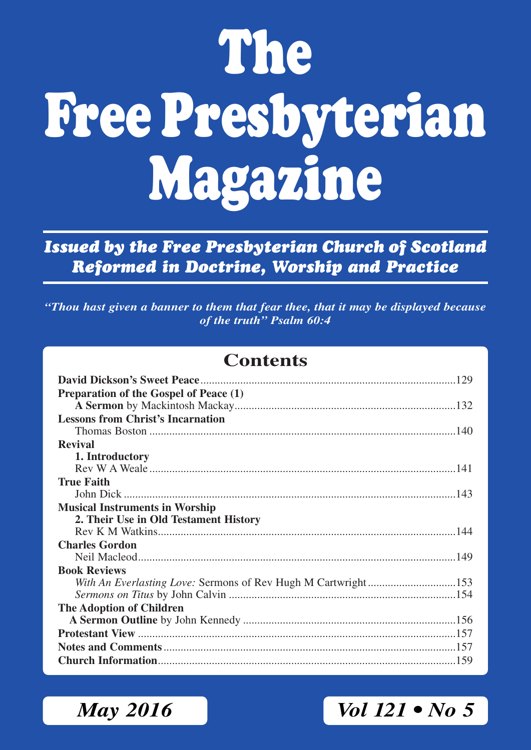# **The Free Presbyterian Magazine**

*Issued by the Free Presbyterian Church of Scotland Reformed in Doctrine, Worship and Practice*

*"Thou hast given a banner to them that fear thee, that it may be displayed because of the truth" Psalm 60:4*

### **Contents**

| Preparation of the Gospel of Peace (1)   |
|------------------------------------------|
|                                          |
| <b>Lessons from Christ's Incarnation</b> |
|                                          |
| <b>Revival</b>                           |
| 1. Introductory                          |
|                                          |
| <b>True Faith</b>                        |
|                                          |
| <b>Musical Instruments in Worship</b>    |
| 2. Their Use in Old Testament History    |
|                                          |
| <b>Charles Gordon</b>                    |
|                                          |
| <b>Book Reviews</b>                      |
|                                          |
|                                          |
| <b>The Adoption of Children</b>          |
|                                          |
|                                          |
|                                          |
|                                          |

*May 2016 Vol 121 • No 5*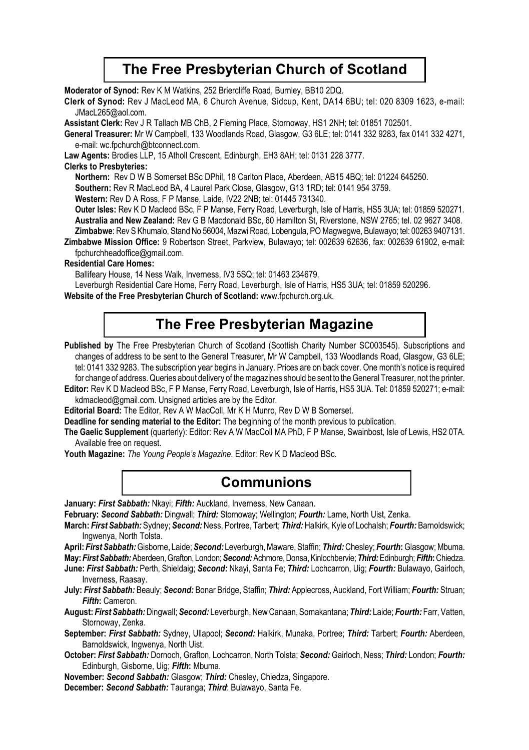### **The Free Presbyterian Church of Scotland**

**Moderator of Synod:** Rev K M Watkins, 252 Briercliffe Road, Burnley, BB10 2DQ.

**Clerk of Synod:** Rev J MacLeod MA, 6 Church Avenue, Sidcup, Kent, DA14 6BU; tel: 020 8309 1623, e-mail: JMacL265@aol.com.

**Assistant Clerk:** Rev J R Tallach MB ChB, 2 Fleming Place, Stornoway, HS1 2NH; tel: 01851 702501.

**General Treasurer:** Mr W Campbell, 133 Woodlands Road, Glasgow, G3 6LE; tel: 0141 332 9283, fax 0141 332 4271, e-mail: wc.fpchurch@btconnect.com.

**Law Agents:** Brodies LLP, 15 Atholl Crescent, Edinburgh, EH3 8AH; tel: 0131 228 3777.

#### **Clerks to Presbyteries:**

**Northern:** Rev D W B Somerset BSc DPhil, 18 Carlton Place, Aberdeen, AB15 4BQ; tel: 01224 645250.

**Southern:** Rev R MacLeod BA, 4 Laurel Park Close, Glasgow, G13 1RD; tel: 0141 954 3759.

**Western:** Rev D A Ross, F P Manse, Laide, IV22 2NB; tel: 01445 731340.

**Outer lsles:** Rev K D Macleod BSc, F P Manse, Ferry Road, Leverburgh, Isle of Harris, HS5 3UA; tel: 01859 520271. **Australia and New Zealand:** Rev G B Macdonald BSc, 60 Hamilton St, Riverstone, NSW 2765; tel. 02 9627 3408. **Zimbabwe**: Rev S Khumalo, Stand No 56004, Mazwi Road, Lobengula, PO Magwegwe, Bulawayo; tel: 00263 9407131.

**Zimbabwe Mission Office:** 9 Robertson Street, Parkview, Bulawayo; tel: 002639 62636, fax: 002639 61902, e-mail: fpchurchheadoffice@gmail.com.

#### **Residential Care Homes:**

Ballifeary House, 14 Ness Walk, Inverness, IV3 5SQ; tel: 01463 234679.

Leverburgh Residential Care Home, Ferry Road, Leverburgh, Isle of Harris, HS5 3UA; tel: 01859 520296.

**Website of the Free Presbyterian Church of Scotland:** www.fpchurch.org.uk.

### **The Free Presbyterian Magazine**

Published by The Free Presbyterian Church of Scotland (Scottish Charity Number SC003545). Subscriptions and changes of address to be sent to the General Treasurer, Mr W Campbell, 133 Woodlands Road, Glasgow, G3 6LE; tel: 0141 332 9283. The subscription year begins in January. Prices are on back cover. One month's notice is required for change of address. Queries about delivery of the magazines should be sent to the General Treasurer, not the printer.

**Editor:** Rev K D Macleod BSc, F P Manse, Ferry Road, Leverburgh, Isle of Harris, HS5 3UA. Tel: 01859 520271; e-mail: kdmacleod@gmail.com. Unsigned articles are by the Editor.

**Editorial Board:** The Editor, Rev A W MacColl, Mr K H Munro, Rev D W B Somerset.

**Deadline for sending material to the Editor:** The beginning of the month previous to publication.

**The Gaelic Supplement** (quarterly): Editor: Rev A W MacColl MA PhD, F P Manse, Swainbost, Isle of Lewis, HS2 0TA. Available free on request.

**Youth Magazine:** *The Young People's Magazine*. Editor: Rev K D Macleod BSc.

### **Communions**

**January:** *First Sabbath:* Nkayi; *Fifth:* Auckland, Inverness, New Canaan.

**February:** *Second Sabbath:* Dingwall; *Third:* Stornoway; Wellington; *Fourth:* Larne, North Uist, Zenka.

- **March:** *First Sabbath:* Sydney; *Second:* Ness, Portree, Tarbert; *Third:* Halkirk, Kyle of Lochalsh; *Fourth:* Barnoldswick; Ingwenya, North Tolsta.
- **April:** *First Sabbath:* Gisborne, Laide; *Second:* Leverburgh, Maware, Staffin; *Third:* Chesley; *Fourth***:** Glasgow; Mbuma. **May:** *First Sabbath:* Aberdeen, Grafton, London; *Second:* Achmore, Donsa, Kinlochbervie; *Third:* Edinburgh; *Fifth***:** Chiedza.

**June:** *First Sabbath:* Perth, Shieldaig; *Second:* Nkayi, Santa Fe; *Third:* Lochcarron, Uig; *Fourth:* Bulawayo, Gairloch, Inverness, Raasay.

**July:** *First Sabbath:* Beauly; *Second:* Bonar Bridge, Staffin; *Third:* Applecross, Auckland, Fort William; *Fourth:* Struan; *Fifth***:** Cameron.

**August:** *First Sabbath:* Dingwall; *Second:* Leverburgh, New Canaan, Somakantana; *Third:* Laide; *Fourth:* Farr, Vatten, Stornoway, Zenka.

**September:** *First Sabbath:* Sydney, Ullapool; *Second:* Halkirk, Munaka, Portree; *Third:* Tarbert; *Fourth:* Aberdeen, Barnoldswick, Ingwenya, North Uist.

**October:** *First Sabbath:* Dornoch, Grafton, Lochcarron, North Tolsta; *Second:* Gairloch, Ness; *Third:* London; *Fourth:* Edinburgh, Gisborne, Uig; *Fifth***:** Mbuma.

**November:** *Second Sabbath:* Glasgow; *Third:* Chesley, Chiedza, Singapore.

**December:** *Second Sabbath:* Tauranga; *Third*: Bulawayo, Santa Fe.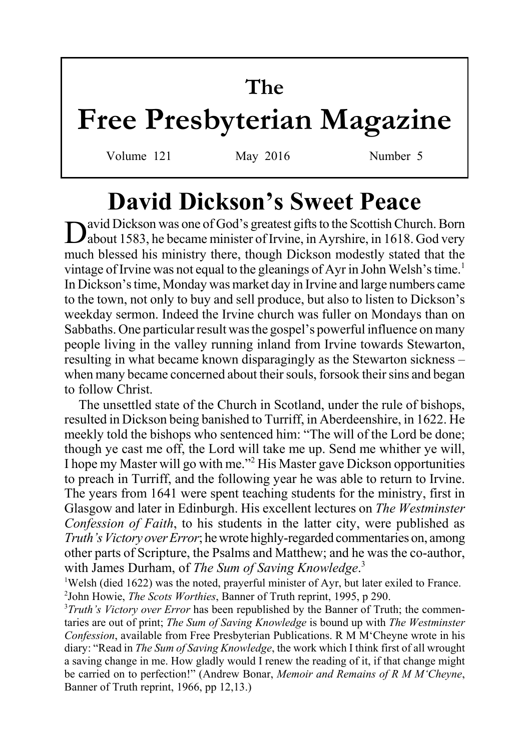# **The Free Presbyterian Magazine**

Volume 121 May 2016 Number 5

# **David Dickson's Sweet Peace**

avid Dickson was one of God's greatest gifts to the Scottish Church. Born about 1583, he became minister of Irvine, in Ayrshire, in 1618. God very much blessed his ministry there, though Dickson modestly stated that the vintage of Irvine was not equal to the gleanings of Ayr in John Welsh's time.<sup>1</sup> In Dickson's time, Monday was market day in Irvine and large numbers came to the town, not only to buy and sell produce, but also to listen to Dickson's weekday sermon. Indeed the Irvine church was fuller on Mondays than on Sabbaths. One particular result was the gospel's powerful influence on many people living in the valley running inland from Irvine towards Stewarton, resulting in what became known disparagingly as the Stewarton sickness – when many became concerned about their souls, forsook their sins and began to follow Christ.

The unsettled state of the Church in Scotland, under the rule of bishops, resulted in Dickson being banished to Turriff, in Aberdeenshire, in 1622. He meekly told the bishops who sentenced him: "The will of the Lord be done; though ye cast me off, the Lord will take me up. Send me whither ye will, I hope my Master will go with me."<sup>2</sup> His Master gave Dickson opportunities to preach in Turriff, and the following year he was able to return to Irvine. The years from 1641 were spent teaching students for the ministry, first in Glasgow and later in Edinburgh. His excellent lectures on *The Westminster Confession of Faith*, to his students in the latter city, were published as *Truth's Victory over Error*; he wrote highly-regarded commentaries on, among other parts of Scripture, the Psalms and Matthew; and he was the co-author, with James Durham, of *The Sum of Saving Knowledge*. 3

<sup>1</sup>Welsh (died 1622) was the noted, prayerful minister of Ayr, but later exiled to France. 2 John Howie, *The Scots Worthies*, Banner of Truth reprint, 1995, p 290.

<sup>3</sup>Truth's Victory over Error has been republished by the Banner of Truth; the commentaries are out of print; *The Sum of Saving Knowledge* is bound up with *The Westminster Confession*, available from Free Presbyterian Publications. R M M'Cheyne wrote in his diary: "Read in *The Sum of Saving Knowledge*, the work which I think first of all wrought a saving change in me. How gladly would I renew the reading of it, if that change might be carried on to perfection!" (Andrew Bonar, *Memoir and Remains of R M M'Cheyne*, Banner of Truth reprint, 1966, pp 12,13.)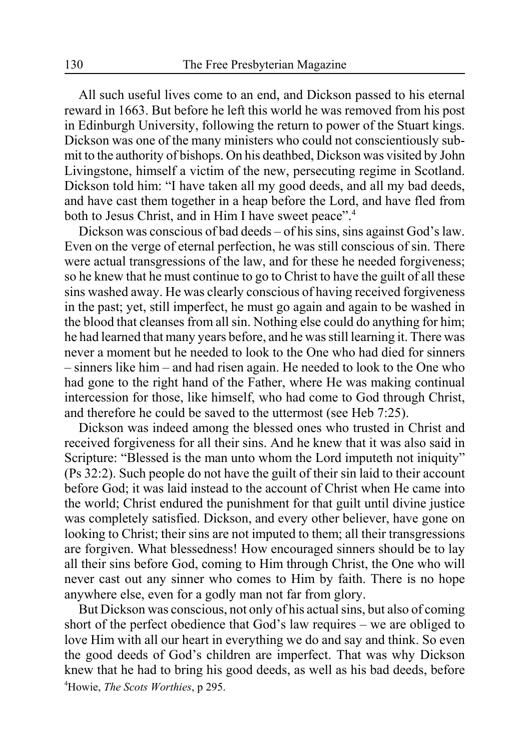All such useful lives come to an end, and Dickson passed to his eternal reward in 1663. But before he left this world he was removed from his post in Edinburgh University, following the return to power of the Stuart kings. Dickson was one of the many ministers who could not conscientiously submit to the authority of bishops. On his deathbed, Dickson was visited by John Livingstone, himself a victim of the new, persecuting regime in Scotland. Dickson told him: "I have taken all my good deeds, and all my bad deeds, and have cast them together in a heap before the Lord, and have fled from both to Jesus Christ, and in Him I have sweet peace".<sup>4</sup>

Dickson was conscious of bad deeds – of his sins, sins against God's law. Even on the verge of eternal perfection, he was still conscious of sin. There were actual transgressions of the law, and for these he needed forgiveness; so he knew that he must continue to go to Christ to have the guilt of all these sins washed away. He was clearly conscious of having received forgiveness in the past; yet, still imperfect, he must go again and again to be washed in the blood that cleanses from all sin. Nothing else could do anything for him; he had learned that many years before, and he was still learning it. There was never a moment but he needed to look to the One who had died for sinners – sinners like him – and had risen again. He needed to look to the One who had gone to the right hand of the Father, where He was making continual intercession for those, like himself, who had come to God through Christ, and therefore he could be saved to the uttermost (see Heb 7:25).

Dickson was indeed among the blessed ones who trusted in Christ and received forgiveness for all their sins. And he knew that it was also said in Scripture: "Blessed is the man unto whom the Lord imputeth not iniquity" (Ps 32:2). Such people do not have the guilt of their sin laid to their account before God; it was laid instead to the account of Christ when He came into the world; Christ endured the punishment for that guilt until divine justice was completely satisfied. Dickson, and every other believer, have gone on looking to Christ; their sins are not imputed to them; all their transgressions are forgiven. What blessedness! How encouraged sinners should be to lay all their sins before God, coming to Him through Christ, the One who will never cast out any sinner who comes to Him by faith. There is no hope anywhere else, even for a godly man not far from glory.

But Dickson was conscious, not only of his actual sins, but also of coming short of the perfect obedience that God's law requires – we are obliged to love Him with all our heart in everything we do and say and think. So even the good deeds of God's children are imperfect. That was why Dickson knew that he had to bring his good deeds, as well as his bad deeds, before 4 Howie, *The Scots Worthies*, p 295.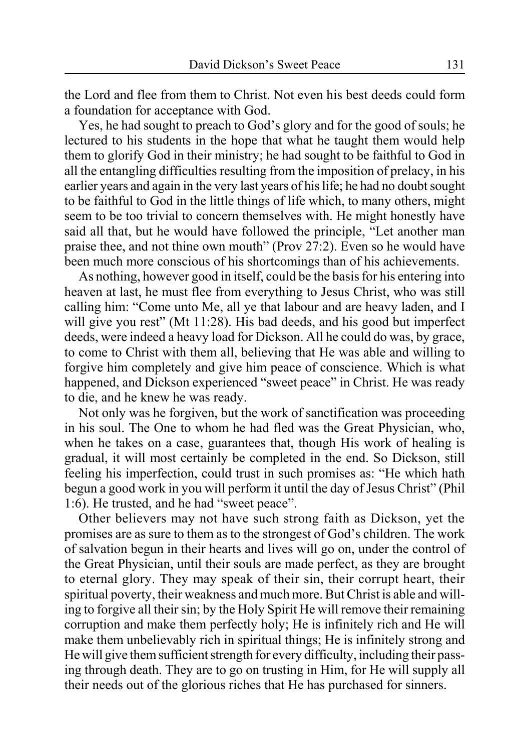the Lord and flee from them to Christ. Not even his best deeds could form a foundation for acceptance with God.

Yes, he had sought to preach to God's glory and for the good of souls; he lectured to his students in the hope that what he taught them would help them to glorify God in their ministry; he had sought to be faithful to God in all the entangling difficulties resulting from the imposition of prelacy, in his earlier years and again in the very last years of his life; he had no doubt sought to be faithful to God in the little things of life which, to many others, might seem to be too trivial to concern themselves with. He might honestly have said all that, but he would have followed the principle, "Let another man praise thee, and not thine own mouth" (Prov 27:2). Even so he would have been much more conscious of his shortcomings than of his achievements.

As nothing, however good in itself, could be the basis for his entering into heaven at last, he must flee from everything to Jesus Christ, who was still calling him: "Come unto Me, all ye that labour and are heavy laden, and I will give you rest" (Mt 11:28). His bad deeds, and his good but imperfect deeds, were indeed a heavy load for Dickson. All he could do was, by grace, to come to Christ with them all, believing that He was able and willing to forgive him completely and give him peace of conscience. Which is what happened, and Dickson experienced "sweet peace" in Christ. He was ready to die, and he knew he was ready.

Not only was he forgiven, but the work of sanctification was proceeding in his soul. The One to whom he had fled was the Great Physician, who, when he takes on a case, guarantees that, though His work of healing is gradual, it will most certainly be completed in the end. So Dickson, still feeling his imperfection, could trust in such promises as: "He which hath begun a good work in you will perform it until the day of Jesus Christ" (Phil 1:6). He trusted, and he had "sweet peace".

Other believers may not have such strong faith as Dickson, yet the promises are as sure to them as to the strongest of God's children. The work of salvation begun in their hearts and lives will go on, under the control of the Great Physician, until their souls are made perfect, as they are brought to eternal glory. They may speak of their sin, their corrupt heart, their spiritual poverty, their weakness and much more. But Christ is able and willing to forgive all their sin; by the Holy Spirit He will remove their remaining corruption and make them perfectly holy; He is infinitely rich and He will make them unbelievably rich in spiritual things; He is infinitely strong and He will give them sufficient strength for every difficulty, including their passing through death. They are to go on trusting in Him, for He will supply all their needs out of the glorious riches that He has purchased for sinners.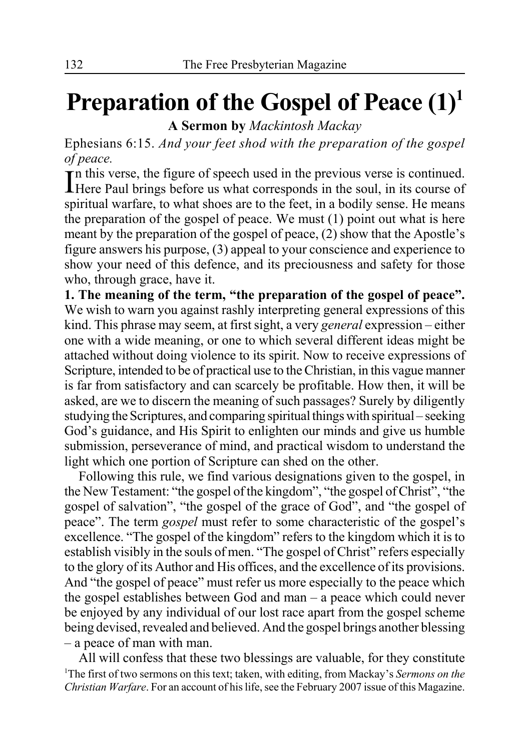# **Preparation of the Gospel of Peace (1)1**

**A Sermon by** *Mackintosh Mackay*

Ephesians 6:15. *And your feet shod with the preparation of the gospel of peace.*

In this verse, the figure of speech used in the previous verse is continued.<br>Here Paul brings before us what corresponds in the soul, in its course of **There Paul brings before us what corresponds in the soul, in its course of** spiritual warfare, to what shoes are to the feet, in a bodily sense. He means the preparation of the gospel of peace. We must (1) point out what is here meant by the preparation of the gospel of peace, (2) show that the Apostle's figure answers his purpose, (3) appeal to your conscience and experience to show your need of this defence, and its preciousness and safety for those who, through grace, have it.

**1. The meaning of the term, "the preparation of the gospel of peace".** We wish to warn you against rashly interpreting general expressions of this kind. This phrase may seem, at first sight, a very *general* expression – either one with a wide meaning, or one to which several different ideas might be attached without doing violence to its spirit. Now to receive expressions of Scripture, intended to be of practical use to the Christian, in this vague manner is far from satisfactory and can scarcely be profitable. How then, it will be asked, are we to discern the meaning of such passages? Surely by diligently studying the Scriptures, and comparing spiritual things with spiritual – seeking God's guidance, and His Spirit to enlighten our minds and give us humble submission, perseverance of mind, and practical wisdom to understand the light which one portion of Scripture can shed on the other.

Following this rule, we find various designations given to the gospel, in the New Testament: "the gospel of the kingdom", "the gospel of Christ", "the gospel of salvation", "the gospel of the grace of God", and "the gospel of peace". The term *gospel* must refer to some characteristic of the gospel's excellence. "The gospel of the kingdom" refers to the kingdom which it is to establish visibly in the souls of men. "The gospel of Christ" refers especially to the glory of its Author and His offices, and the excellence of its provisions. And "the gospel of peace" must refer us more especially to the peace which the gospel establishes between God and man – a peace which could never be enjoyed by any individual of our lost race apart from the gospel scheme being devised, revealed and believed. And the gospel brings another blessing – a peace of man with man.

All will confess that these two blessings are valuable, for they constitute 1 The first of two sermons on this text; taken, with editing, from Mackay's *Sermons on the Christian Warfare*. For an account of his life, see the February 2007 issue of this Magazine.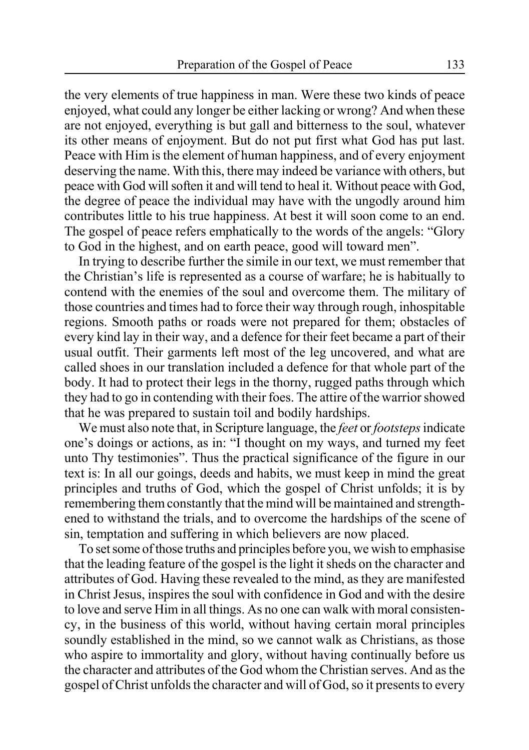the very elements of true happiness in man. Were these two kinds of peace enjoyed, what could any longer be either lacking or wrong? And when these are not enjoyed, everything is but gall and bitterness to the soul, whatever its other means of enjoyment. But do not put first what God has put last. Peace with Him is the element of human happiness, and of every enjoyment deserving the name. With this, there may indeed be variance with others, but peace with God will soften it and will tend to heal it. Without peace with God, the degree of peace the individual may have with the ungodly around him contributes little to his true happiness. At best it will soon come to an end. The gospel of peace refers emphatically to the words of the angels: "Glory to God in the highest, and on earth peace, good will toward men".

In trying to describe further the simile in our text, we must remember that the Christian's life is represented as a course of warfare; he is habitually to contend with the enemies of the soul and overcome them. The military of those countries and times had to force their way through rough, inhospitable regions. Smooth paths or roads were not prepared for them; obstacles of every kind lay in their way, and a defence for their feet became a part of their usual outfit. Their garments left most of the leg uncovered, and what are called shoes in our translation included a defence for that whole part of the body. It had to protect their legs in the thorny, rugged paths through which they had to go in contending with their foes. The attire of the warrior showed that he was prepared to sustain toil and bodily hardships.

We must also note that, in Scripture language, the *feet* or *footsteps* indicate one's doings or actions, as in: "I thought on my ways, and turned my feet unto Thy testimonies". Thus the practical significance of the figure in our text is: In all our goings, deeds and habits, we must keep in mind the great principles and truths of God, which the gospel of Christ unfolds; it is by remembering them constantly that the mind will be maintained and strengthened to withstand the trials, and to overcome the hardships of the scene of sin, temptation and suffering in which believers are now placed.

To set some of those truths and principles before you, we wish to emphasise that the leading feature of the gospel is the light it sheds on the character and attributes of God. Having these revealed to the mind, as they are manifested in Christ Jesus, inspires the soul with confidence in God and with the desire to love and serve Him in all things. As no one can walk with moral consistency, in the business of this world, without having certain moral principles soundly established in the mind, so we cannot walk as Christians, as those who aspire to immortality and glory, without having continually before us the character and attributes of the God whom the Christian serves. And as the gospel of Christ unfolds the character and will of God, so it presents to every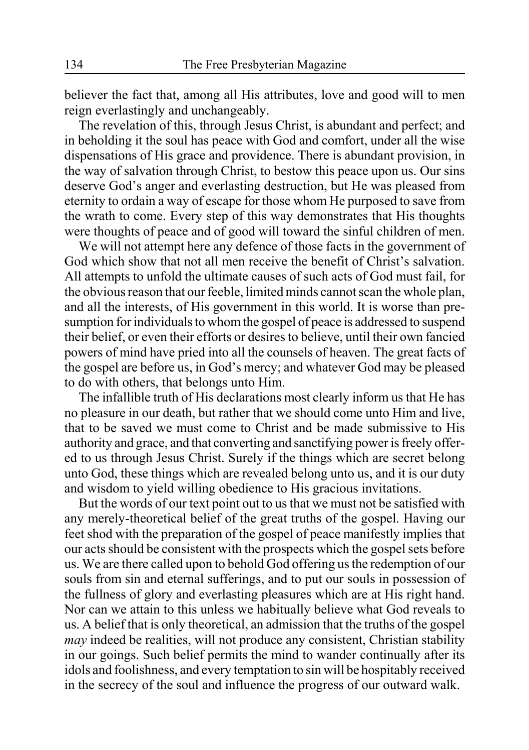believer the fact that, among all His attributes, love and good will to men reign everlastingly and unchangeably.

The revelation of this, through Jesus Christ, is abundant and perfect; and in beholding it the soul has peace with God and comfort, under all the wise dispensations of His grace and providence. There is abundant provision, in the way of salvation through Christ, to bestow this peace upon us. Our sins deserve God's anger and everlasting destruction, but He was pleased from eternity to ordain a way of escape for those whom He purposed to save from the wrath to come. Every step of this way demonstrates that His thoughts were thoughts of peace and of good will toward the sinful children of men.

We will not attempt here any defence of those facts in the government of God which show that not all men receive the benefit of Christ's salvation. All attempts to unfold the ultimate causes of such acts of God must fail, for the obvious reason that our feeble, limited minds cannot scan the whole plan, and all the interests, of His government in this world. It is worse than presumption for individuals to whom the gospel of peace is addressed to suspend their belief, or even their efforts or desires to believe, until their own fancied powers of mind have pried into all the counsels of heaven. The great facts of the gospel are before us, in God's mercy; and whatever God may be pleased to do with others, that belongs unto Him.

The infallible truth of His declarations most clearly inform us that He has no pleasure in our death, but rather that we should come unto Him and live, that to be saved we must come to Christ and be made submissive to His authority and grace, and that converting and sanctifying power is freely offered to us through Jesus Christ. Surely if the things which are secret belong unto God, these things which are revealed belong unto us, and it is our duty and wisdom to yield willing obedience to His gracious invitations.

But the words of our text point out to us that we must not be satisfied with any merely-theoretical belief of the great truths of the gospel. Having our feet shod with the preparation of the gospel of peace manifestly implies that our acts should be consistent with the prospects which the gospel sets before us. We are there called upon to behold God offering us the redemption of our souls from sin and eternal sufferings, and to put our souls in possession of the fullness of glory and everlasting pleasures which are at His right hand. Nor can we attain to this unless we habitually believe what God reveals to us. A belief that is only theoretical, an admission that the truths of the gospel *may* indeed be realities, will not produce any consistent, Christian stability in our goings. Such belief permits the mind to wander continually after its idols and foolishness, and every temptation to sin will be hospitably received in the secrecy of the soul and influence the progress of our outward walk.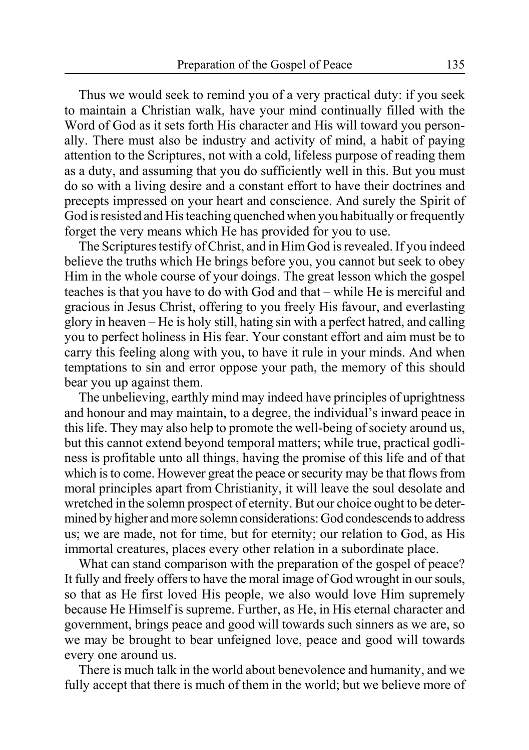Thus we would seek to remind you of a very practical duty: if you seek to maintain a Christian walk, have your mind continually filled with the Word of God as it sets forth His character and His will toward you personally. There must also be industry and activity of mind, a habit of paying attention to the Scriptures, not with a cold, lifeless purpose of reading them as a duty, and assuming that you do sufficiently well in this. But you must do so with a living desire and a constant effort to have their doctrines and precepts impressed on your heart and conscience. And surely the Spirit of God is resisted and His teaching quenched when you habitually or frequently forget the very means which He has provided for you to use.

The Scriptures testify of Christ, and in Him God is revealed. If you indeed believe the truths which He brings before you, you cannot but seek to obey Him in the whole course of your doings. The great lesson which the gospel teaches is that you have to do with God and that – while He is merciful and gracious in Jesus Christ, offering to you freely His favour, and everlasting glory in heaven – He is holy still, hating sin with a perfect hatred, and calling you to perfect holiness in His fear. Your constant effort and aim must be to carry this feeling along with you, to have it rule in your minds. And when temptations to sin and error oppose your path, the memory of this should bear you up against them.

The unbelieving, earthly mind may indeed have principles of uprightness and honour and may maintain, to a degree, the individual's inward peace in this life. They may also help to promote the well-being of society around us, but this cannot extend beyond temporal matters; while true, practical godliness is profitable unto all things, having the promise of this life and of that which is to come. However great the peace or security may be that flows from moral principles apart from Christianity, it will leave the soul desolate and wretched in the solemn prospect of eternity. But our choice ought to be determined by higher and more solemn considerations: God condescends to address us; we are made, not for time, but for eternity; our relation to God, as His immortal creatures, places every other relation in a subordinate place.

What can stand comparison with the preparation of the gospel of peace? It fully and freely offers to have the moral image of God wrought in our souls, so that as He first loved His people, we also would love Him supremely because He Himself is supreme. Further, as He, in His eternal character and government, brings peace and good will towards such sinners as we are, so we may be brought to bear unfeigned love, peace and good will towards every one around us.

There is much talk in the world about benevolence and humanity, and we fully accept that there is much of them in the world; but we believe more of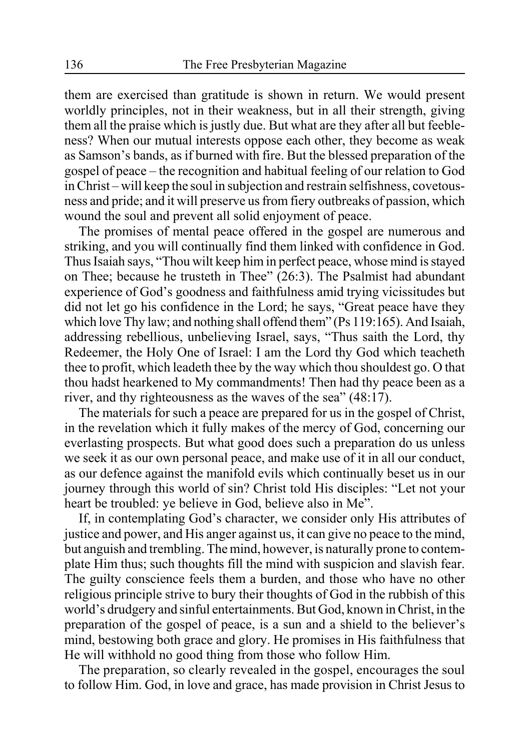them are exercised than gratitude is shown in return. We would present worldly principles, not in their weakness, but in all their strength, giving them all the praise which is justly due. But what are they after all but feebleness? When our mutual interests oppose each other, they become as weak as Samson's bands, as if burned with fire. But the blessed preparation of the gospel of peace – the recognition and habitual feeling of our relation to God in Christ – will keep the soul in subjection and restrain selfishness, covetousness and pride; and it will preserve us from fiery outbreaks of passion, which wound the soul and prevent all solid enjoyment of peace.

The promises of mental peace offered in the gospel are numerous and striking, and you will continually find them linked with confidence in God. Thus Isaiah says, "Thou wilt keep him in perfect peace, whose mind is stayed on Thee; because he trusteth in Thee" (26:3). The Psalmist had abundant experience of God's goodness and faithfulness amid trying vicissitudes but did not let go his confidence in the Lord; he says, "Great peace have they which love Thy law; and nothing shall offend them" (Ps 119:165). And Isaiah, addressing rebellious, unbelieving Israel, says, "Thus saith the Lord, thy Redeemer, the Holy One of Israel: I am the Lord thy God which teacheth thee to profit, which leadeth thee by the way which thou shouldest go. O that thou hadst hearkened to My commandments! Then had thy peace been as a river, and thy righteousness as the waves of the sea" (48:17).

The materials for such a peace are prepared for us in the gospel of Christ, in the revelation which it fully makes of the mercy of God, concerning our everlasting prospects. But what good does such a preparation do us unless we seek it as our own personal peace, and make use of it in all our conduct, as our defence against the manifold evils which continually beset us in our journey through this world of sin? Christ told His disciples: "Let not your heart be troubled: ye believe in God, believe also in Me".

If, in contemplating God's character, we consider only His attributes of justice and power, and His anger against us, it can give no peace to the mind, but anguish and trembling. The mind, however, is naturally prone to contemplate Him thus; such thoughts fill the mind with suspicion and slavish fear. The guilty conscience feels them a burden, and those who have no other religious principle strive to bury their thoughts of God in the rubbish of this world's drudgery and sinful entertainments. But God, known in Christ, in the preparation of the gospel of peace, is a sun and a shield to the believer's mind, bestowing both grace and glory. He promises in His faithfulness that He will withhold no good thing from those who follow Him.

The preparation, so clearly revealed in the gospel, encourages the soul to follow Him. God, in love and grace, has made provision in Christ Jesus to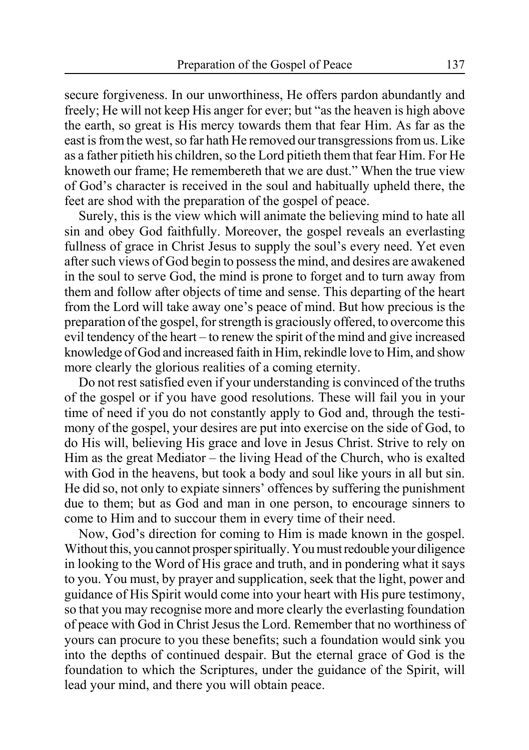secure forgiveness. In our unworthiness, He offers pardon abundantly and freely; He will not keep His anger for ever; but "as the heaven is high above the earth, so great is His mercy towards them that fear Him. As far as the east is from the west, so far hath He removed our transgressions from us. Like as a father pitieth his children, so the Lord pitieth them that fear Him. For He knoweth our frame; He remembereth that we are dust." When the true view of God's character is received in the soul and habitually upheld there, the feet are shod with the preparation of the gospel of peace.

Surely, this is the view which will animate the believing mind to hate all sin and obey God faithfully. Moreover, the gospel reveals an everlasting fullness of grace in Christ Jesus to supply the soul's every need. Yet even after such views of God begin to possess the mind, and desires are awakened in the soul to serve God, the mind is prone to forget and to turn away from them and follow after objects of time and sense. This departing of the heart from the Lord will take away one's peace of mind. But how precious is the preparation of the gospel, for strength is graciously offered, to overcome this evil tendency of the heart – to renew the spirit of the mind and give increased knowledge of God and increased faith in Him, rekindle love to Him, and show more clearly the glorious realities of a coming eternity.

Do not rest satisfied even if your understanding is convinced of the truths of the gospel or if you have good resolutions. These will fail you in your time of need if you do not constantly apply to God and, through the testimony of the gospel, your desires are put into exercise on the side of God, to do His will, believing His grace and love in Jesus Christ. Strive to rely on Him as the great Mediator – the living Head of the Church, who is exalted with God in the heavens, but took a body and soul like yours in all but sin. He did so, not only to expiate sinners' offences by suffering the punishment due to them; but as God and man in one person, to encourage sinners to come to Him and to succour them in every time of their need.

Now, God's direction for coming to Him is made known in the gospel. Without this, you cannot prosper spiritually. You must redouble your diligence in looking to the Word of His grace and truth, and in pondering what it says to you. You must, by prayer and supplication, seek that the light, power and guidance of His Spirit would come into your heart with His pure testimony, so that you may recognise more and more clearly the everlasting foundation of peace with God in Christ Jesus the Lord. Remember that no worthiness of yours can procure to you these benefits; such a foundation would sink you into the depths of continued despair. But the eternal grace of God is the foundation to which the Scriptures, under the guidance of the Spirit, will lead your mind, and there you will obtain peace.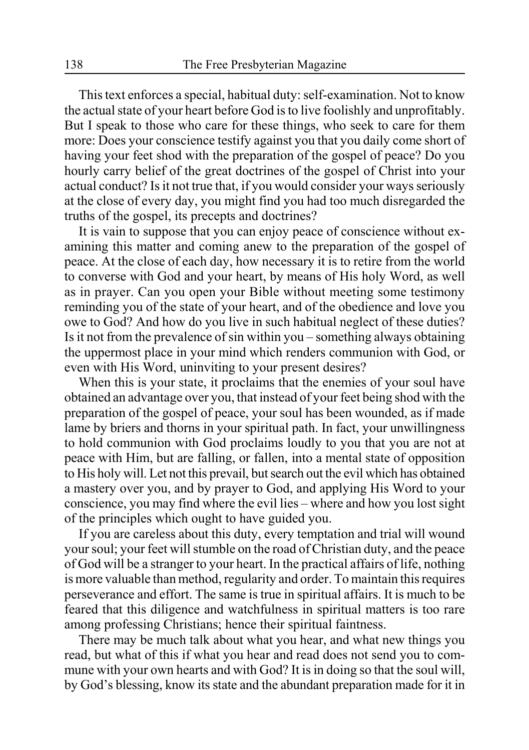This text enforces a special, habitual duty: self-examination. Not to know the actual state of your heart before God is to live foolishly and unprofitably. But I speak to those who care for these things, who seek to care for them more: Does your conscience testify against you that you daily come short of having your feet shod with the preparation of the gospel of peace? Do you hourly carry belief of the great doctrines of the gospel of Christ into your actual conduct? Is it not true that, if you would consider your ways seriously at the close of every day, you might find you had too much disregarded the truths of the gospel, its precepts and doctrines?

It is vain to suppose that you can enjoy peace of conscience without examining this matter and coming anew to the preparation of the gospel of peace. At the close of each day, how necessary it is to retire from the world to converse with God and your heart, by means of His holy Word, as well as in prayer. Can you open your Bible without meeting some testimony reminding you of the state of your heart, and of the obedience and love you owe to God? And how do you live in such habitual neglect of these duties? Is it not from the prevalence of sin within you – something always obtaining the uppermost place in your mind which renders communion with God, or even with His Word, uninviting to your present desires?

When this is your state, it proclaims that the enemies of your soul have obtained an advantage over you, that instead of your feet being shod with the preparation of the gospel of peace, your soul has been wounded, as if made lame by briers and thorns in your spiritual path. In fact, your unwillingness to hold communion with God proclaims loudly to you that you are not at peace with Him, but are falling, or fallen, into a mental state of opposition to His holy will. Let not this prevail, but search out the evil which has obtained a mastery over you, and by prayer to God, and applying His Word to your conscience, you may find where the evil lies – where and how you lost sight of the principles which ought to have guided you.

If you are careless about this duty, every temptation and trial will wound your soul; your feet will stumble on the road of Christian duty, and the peace of God will be a stranger to your heart. In the practical affairs of life, nothing is more valuable than method, regularity and order. To maintain this requires perseverance and effort. The same is true in spiritual affairs. It is much to be feared that this diligence and watchfulness in spiritual matters is too rare among professing Christians; hence their spiritual faintness.

There may be much talk about what you hear, and what new things you read, but what of this if what you hear and read does not send you to commune with your own hearts and with God? It is in doing so that the soul will, by God's blessing, know its state and the abundant preparation made for it in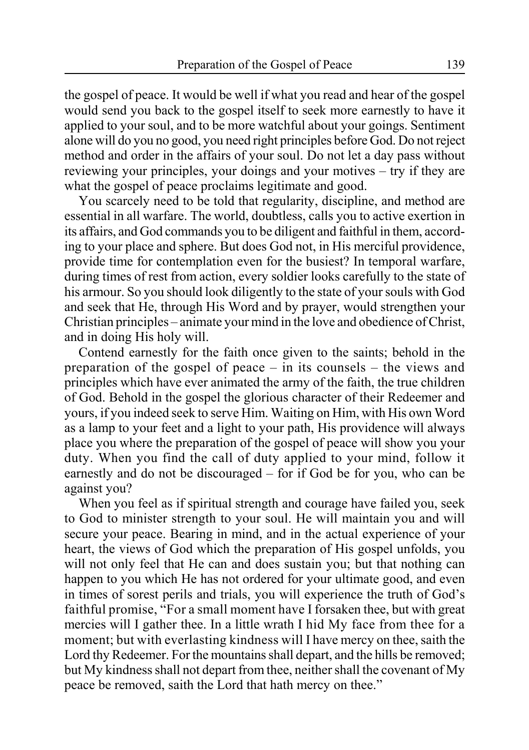the gospel of peace. It would be well if what you read and hear of the gospel would send you back to the gospel itself to seek more earnestly to have it applied to your soul, and to be more watchful about your goings. Sentiment alone will do you no good, you need right principles before God. Do not reject method and order in the affairs of your soul. Do not let a day pass without reviewing your principles, your doings and your motives – try if they are what the gospel of peace proclaims legitimate and good.

You scarcely need to be told that regularity, discipline, and method are essential in all warfare. The world, doubtless, calls you to active exertion in its affairs, and God commands you to be diligent and faithful in them, according to your place and sphere. But does God not, in His merciful providence, provide time for contemplation even for the busiest? In temporal warfare, during times of rest from action, every soldier looks carefully to the state of his armour. So you should look diligently to the state of your souls with God and seek that He, through His Word and by prayer, would strengthen your Christian principles – animate your mind in the love and obedience of Christ, and in doing His holy will.

Contend earnestly for the faith once given to the saints; behold in the preparation of the gospel of peace – in its counsels – the views and principles which have ever animated the army of the faith, the true children of God. Behold in the gospel the glorious character of their Redeemer and yours, if you indeed seek to serve Him. Waiting on Him, with His own Word as a lamp to your feet and a light to your path, His providence will always place you where the preparation of the gospel of peace will show you your duty. When you find the call of duty applied to your mind, follow it earnestly and do not be discouraged – for if God be for you, who can be against you?

When you feel as if spiritual strength and courage have failed you, seek to God to minister strength to your soul. He will maintain you and will secure your peace. Bearing in mind, and in the actual experience of your heart, the views of God which the preparation of His gospel unfolds, you will not only feel that He can and does sustain you; but that nothing can happen to you which He has not ordered for your ultimate good, and even in times of sorest perils and trials, you will experience the truth of God's faithful promise, "For a small moment have I forsaken thee, but with great mercies will I gather thee. In a little wrath I hid My face from thee for a moment; but with everlasting kindness will I have mercy on thee, saith the Lord thy Redeemer. For the mountains shall depart, and the hills be removed; but My kindness shall not depart from thee, neither shall the covenant of My peace be removed, saith the Lord that hath mercy on thee."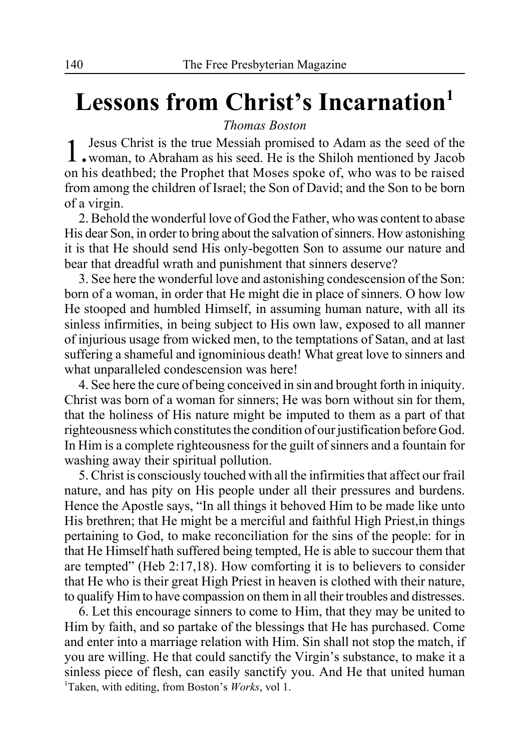# **Lessons from Christ's Incarnation1**

*Thomas Boston*

1.Jesus Christ is the true Messiah promised to Adam as the seed of the woman, to Abraham as his seed. He is the Shiloh mentioned by Jacob on his deathbed; the Prophet that Moses spoke of, who was to be raised from among the children of Israel; the Son of David; and the Son to be born of a virgin.

2. Behold the wonderful love of God the Father, who was content to abase His dear Son, in order to bring about the salvation of sinners. How astonishing it is that He should send His only-begotten Son to assume our nature and bear that dreadful wrath and punishment that sinners deserve?

3. See here the wonderful love and astonishing condescension of the Son: born of a woman, in order that He might die in place of sinners. O how low He stooped and humbled Himself, in assuming human nature, with all its sinless infirmities, in being subject to His own law, exposed to all manner of injurious usage from wicked men, to the temptations of Satan, and at last suffering a shameful and ignominious death! What great love to sinners and what unparalleled condescension was here!

4. See here the cure of being conceived in sin and brought forth in iniquity. Christ was born of a woman for sinners; He was born without sin for them, that the holiness of His nature might be imputed to them as a part of that righteousness which constitutes the condition of our justification before God. In Him is a complete righteousness for the guilt of sinners and a fountain for washing away their spiritual pollution.

5. Christ is consciously touched with all the infirmities that affect our frail nature, and has pity on His people under all their pressures and burdens. Hence the Apostle says, "In all things it behoved Him to be made like unto His brethren; that He might be a merciful and faithful High Priest,in things pertaining to God, to make reconciliation for the sins of the people: for in that He Himself hath suffered being tempted, He is able to succour them that are tempted" (Heb 2:17,18). How comforting it is to believers to consider that He who is their great High Priest in heaven is clothed with their nature, to qualify Him to have compassion on them in all their troubles and distresses.

6. Let this encourage sinners to come to Him, that they may be united to Him by faith, and so partake of the blessings that He has purchased. Come and enter into a marriage relation with Him. Sin shall not stop the match, if you are willing. He that could sanctify the Virgin's substance, to make it a sinless piece of flesh, can easily sanctify you. And He that united human 1 Taken, with editing, from Boston's *Works*, vol 1.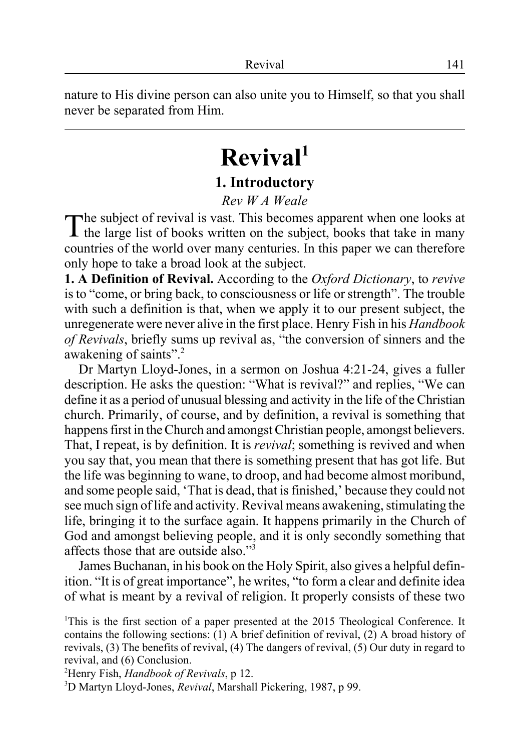nature to His divine person can also unite you to Himself, so that you shall never be separated from Him.

# **Revival1**

### **1. Introductory**

#### *Rev W A Weale*

The subject of revival is vast. This becomes apparent when one looks at the large list of books written on the subject, books that take in many countries of the world over many centuries. In this paper we can therefore only hope to take a broad look at the subject.

**1. A Definition of Revival.** According to the *Oxford Dictionary*, to *revive* is to "come, or bring back, to consciousness or life or strength". The trouble with such a definition is that, when we apply it to our present subject, the unregenerate were never alive in the first place. Henry Fish in his *Handbook of Revivals*, briefly sums up revival as, "the conversion of sinners and the awakening of saints".2

Dr Martyn Lloyd-Jones, in a sermon on Joshua 4:21-24, gives a fuller description. He asks the question: "What is revival?" and replies, "We can define it as a period of unusual blessing and activity in the life of the Christian church. Primarily, of course, and by definition, a revival is something that happens first in the Church and amongst Christian people, amongst believers. That, I repeat, is by definition. It is *revival*; something is revived and when you say that, you mean that there is something present that has got life. But the life was beginning to wane, to droop, and had become almost moribund, and some people said, 'That is dead, that is finished,' because they could not see much sign of life and activity. Revival means awakening, stimulating the life, bringing it to the surface again. It happens primarily in the Church of God and amongst believing people, and it is only secondly something that affects those that are outside also."3

James Buchanan, in his book on the Holy Spirit, also gives a helpful definition. "It is of great importance", he writes, "to form a clear and definite idea of what is meant by a revival of religion. It properly consists of these two

2 Henry Fish, *Handbook of Revivals*, p 12.

<sup>&</sup>lt;sup>1</sup>This is the first section of a paper presented at the 2015 Theological Conference. It contains the following sections: (1) A brief definition of revival, (2) A broad history of revivals, (3) The benefits of revival, (4) The dangers of revival, (5) Our duty in regard to revival, and (6) Conclusion.

<sup>3</sup> D Martyn Lloyd-Jones, *Revival*, Marshall Pickering, 1987, p 99.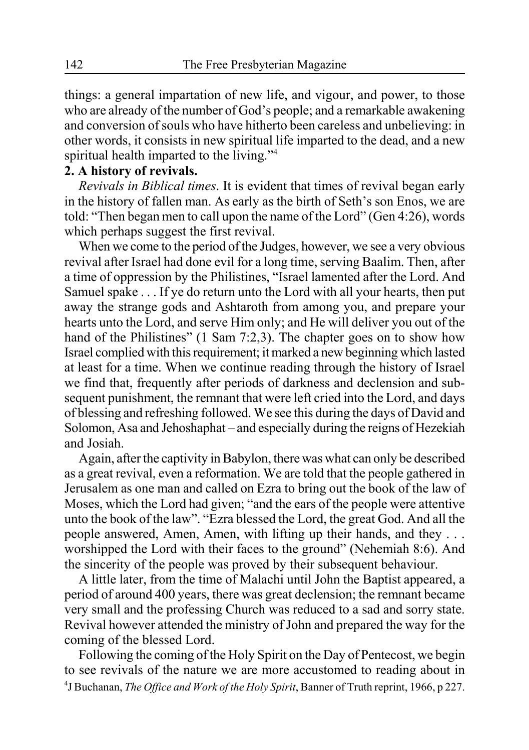things: a general impartation of new life, and vigour, and power, to those who are already of the number of God's people; and a remarkable awakening and conversion of souls who have hitherto been careless and unbelieving: in other words, it consists in new spiritual life imparted to the dead, and a new spiritual health imparted to the living."<sup>4</sup>

### **2. A history of revivals.**

*Revivals in Biblical times*. It is evident that times of revival began early in the history of fallen man. As early as the birth of Seth's son Enos, we are told: "Then began men to call upon the name of the Lord" (Gen 4:26), words which perhaps suggest the first revival.

When we come to the period of the Judges, however, we see a very obvious revival after Israel had done evil for a long time, serving Baalim. Then, after a time of oppression by the Philistines, "Israel lamented after the Lord. And Samuel spake . . . If ye do return unto the Lord with all your hearts, then put away the strange gods and Ashtaroth from among you, and prepare your hearts unto the Lord, and serve Him only; and He will deliver you out of the hand of the Philistines" (1 Sam 7:2,3). The chapter goes on to show how Israel complied with this requirement; it marked a new beginning which lasted at least for a time. When we continue reading through the history of Israel we find that, frequently after periods of darkness and declension and subsequent punishment, the remnant that were left cried into the Lord, and days of blessing and refreshing followed. We see this during the days of David and Solomon, Asa and Jehoshaphat – and especially during the reigns of Hezekiah and Josiah.

Again, after the captivity in Babylon, there was what can only be described as a great revival, even a reformation. We are told that the people gathered in Jerusalem as one man and called on Ezra to bring out the book of the law of Moses, which the Lord had given; "and the ears of the people were attentive unto the book of the law". "Ezra blessed the Lord, the great God. And all the people answered, Amen, Amen, with lifting up their hands, and they . . . worshipped the Lord with their faces to the ground" (Nehemiah 8:6). And the sincerity of the people was proved by their subsequent behaviour.

A little later, from the time of Malachi until John the Baptist appeared, a period of around 400 years, there was great declension; the remnant became very small and the professing Church was reduced to a sad and sorry state. Revival however attended the ministry of John and prepared the way for the coming of the blessed Lord.

Following the coming of the Holy Spirit on the Day of Pentecost, we begin to see revivals of the nature we are more accustomed to reading about in 4 J Buchanan, *The Office and Work of the Holy Spirit*, Banner of Truth reprint, 1966, p 227.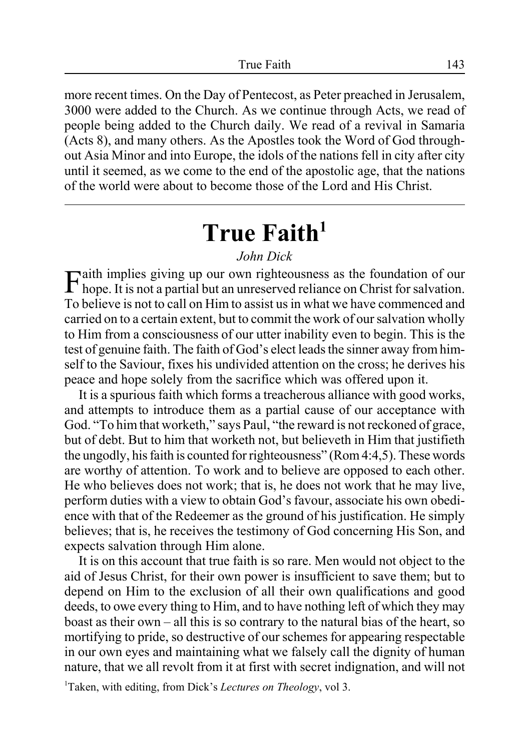more recent times. On the Day of Pentecost, as Peter preached in Jerusalem, 3000 were added to the Church. As we continue through Acts, we read of people being added to the Church daily. We read of a revival in Samaria (Acts 8), and many others. As the Apostles took the Word of God throughout Asia Minor and into Europe, the idols of the nations fell in city after city until it seemed, as we come to the end of the apostolic age, that the nations of the world were about to become those of the Lord and His Christ.

# **True Faith<sup>1</sup>**

### *John Dick*

Faith implies giving up our own righteousness as the foundation of our hope. It is not a partial but an unreserved reliance on Christ for salvation. To believe is not to call on Him to assist us in what we have commenced and carried on to a certain extent, but to commit the work of our salvation wholly to Him from a consciousness of our utter inability even to begin. This is the test of genuine faith. The faith of God's elect leads the sinner away from himself to the Saviour, fixes his undivided attention on the cross; he derives his peace and hope solely from the sacrifice which was offered upon it.

It is a spurious faith which forms a treacherous alliance with good works, and attempts to introduce them as a partial cause of our acceptance with God. "To him that worketh," says Paul, "the reward is not reckoned of grace, but of debt. But to him that worketh not, but believeth in Him that justifieth the ungodly, his faith is counted for righteousness" (Rom 4:4,5). These words are worthy of attention. To work and to believe are opposed to each other. He who believes does not work; that is, he does not work that he may live, perform duties with a view to obtain God's favour, associate his own obedience with that of the Redeemer as the ground of his justification. He simply believes; that is, he receives the testimony of God concerning His Son, and expects salvation through Him alone.

It is on this account that true faith is so rare. Men would not object to the aid of Jesus Christ, for their own power is insufficient to save them; but to depend on Him to the exclusion of all their own qualifications and good deeds, to owe every thing to Him, and to have nothing left of which they may boast as their own – all this is so contrary to the natural bias of the heart, so mortifying to pride, so destructive of our schemes for appearing respectable in our own eyes and maintaining what we falsely call the dignity of human nature, that we all revolt from it at first with secret indignation, and will not

1 Taken, with editing, from Dick's *Lectures on Theology*, vol 3.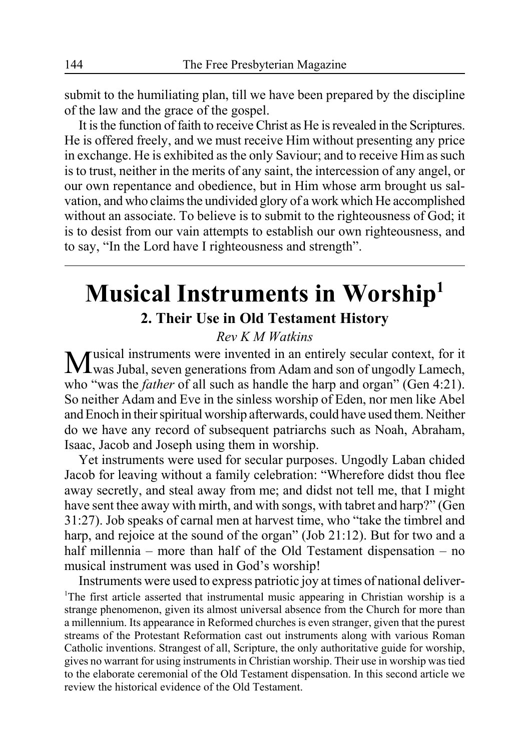submit to the humiliating plan, till we have been prepared by the discipline of the law and the grace of the gospel.

It is the function of faith to receive Christ as He is revealed in the Scriptures. He is offered freely, and we must receive Him without presenting any price in exchange. He is exhibited as the only Saviour; and to receive Him as such is to trust, neither in the merits of any saint, the intercession of any angel, or our own repentance and obedience, but in Him whose arm brought us salvation, and who claims the undivided glory of a work which He accomplished without an associate. To believe is to submit to the righteousness of God; it is to desist from our vain attempts to establish our own righteousness, and to say, "In the Lord have I righteousness and strength".

## **Musical Instruments in Worship1 2. Their Use in Old Testament History**

### *Rev K M Watkins*

Musical instruments were invented in an entirely secular context, for it  $\sqrt{1}$  was Jubal, seven generations from Adam and son of ungodly Lamech, who "was the *father* of all such as handle the harp and organ" (Gen 4:21). So neither Adam and Eve in the sinless worship of Eden, nor men like Abel and Enoch in their spiritual worship afterwards, could have used them. Neither do we have any record of subsequent patriarchs such as Noah, Abraham, Isaac, Jacob and Joseph using them in worship.

Yet instruments were used for secular purposes. Ungodly Laban chided Jacob for leaving without a family celebration: "Wherefore didst thou flee away secretly, and steal away from me; and didst not tell me, that I might have sent thee away with mirth, and with songs, with tabret and harp?" (Gen 31:27). Job speaks of carnal men at harvest time, who "take the timbrel and harp, and rejoice at the sound of the organ" (Job 21:12). But for two and a half millennia – more than half of the Old Testament dispensation – no musical instrument was used in God's worship!

Instruments were used to express patriotic joy at times of national deliver- <sup>1</sup>The first article asserted that instrumental music appearing in Christian worship is a strange phenomenon, given its almost universal absence from the Church for more than a millennium. Its appearance in Reformed churches is even stranger, given that the purest streams of the Protestant Reformation cast out instruments along with various Roman Catholic inventions. Strangest of all, Scripture, the only authoritative guide for worship, gives no warrant for using instruments in Christian worship. Their use in worship was tied to the elaborate ceremonial of the Old Testament dispensation. In this second article we review the historical evidence of the Old Testament.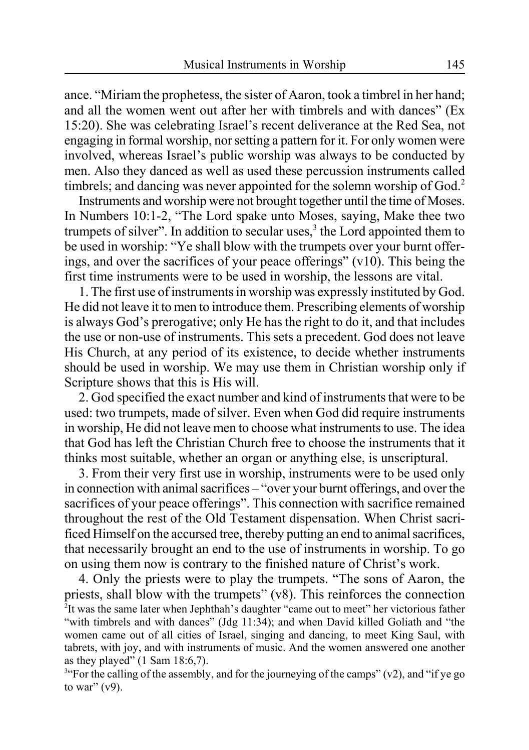ance. "Miriam the prophetess, the sister of Aaron, took a timbrel in her hand; and all the women went out after her with timbrels and with dances" (Ex 15:20). She was celebrating Israel's recent deliverance at the Red Sea, not engaging in formal worship, nor setting a pattern for it. For only women were involved, whereas Israel's public worship was always to be conducted by men. Also they danced as well as used these percussion instruments called timbrels; and dancing was never appointed for the solemn worship of God.<sup>2</sup>

Instruments and worship were not brought together until the time of Moses. In Numbers 10:1-2, "The Lord spake unto Moses, saying, Make thee two trumpets of silver". In addition to secular uses, $3$  the Lord appointed them to be used in worship: "Ye shall blow with the trumpets over your burnt offerings, and over the sacrifices of your peace offerings" (v10). This being the first time instruments were to be used in worship, the lessons are vital.

1. The first use of instruments in worship was expressly instituted by God. He did not leave it to men to introduce them. Prescribing elements of worship is always God's prerogative; only He has the right to do it, and that includes the use or non-use of instruments. This sets a precedent. God does not leave His Church, at any period of its existence, to decide whether instruments should be used in worship. We may use them in Christian worship only if Scripture shows that this is His will.

2. God specified the exact number and kind of instruments that were to be used: two trumpets, made of silver. Even when God did require instruments in worship, He did not leave men to choose what instruments to use. The idea that God has left the Christian Church free to choose the instruments that it thinks most suitable, whether an organ or anything else, is unscriptural.

3. From their very first use in worship, instruments were to be used only in connection with animal sacrifices – "over your burnt offerings, and over the sacrifices of your peace offerings". This connection with sacrifice remained throughout the rest of the Old Testament dispensation. When Christ sacrificed Himself on the accursed tree, thereby putting an end to animal sacrifices, that necessarily brought an end to the use of instruments in worship. To go on using them now is contrary to the finished nature of Christ's work.

4. Only the priests were to play the trumpets. "The sons of Aaron, the priests, shall blow with the trumpets" (v8). This reinforces the connection <sup>2</sup>It was the same later when Jephthah's daughter "came out to meet" her victorious father "with timbrels and with dances" (Jdg 11:34); and when David killed Goliath and "the women came out of all cities of Israel, singing and dancing, to meet King Saul, with tabrets, with joy, and with instruments of music. And the women answered one another as they played" (1 Sam 18:6,7).

<sup>34</sup> For the calling of the assembly, and for the journeying of the camps" (v2), and "if ye go to war"  $(v9)$ .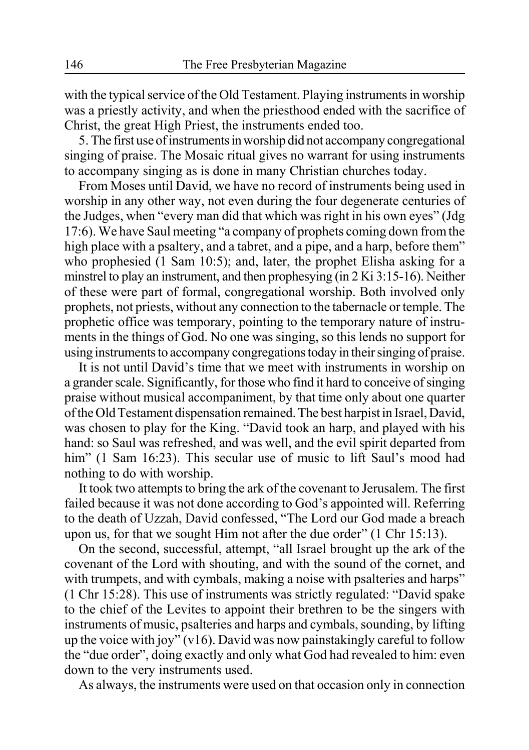with the typical service of the Old Testament. Playing instruments in worship was a priestly activity, and when the priesthood ended with the sacrifice of Christ, the great High Priest, the instruments ended too.

5. The first use of instruments in worship did not accompany congregational singing of praise. The Mosaic ritual gives no warrant for using instruments to accompany singing as is done in many Christian churches today.

From Moses until David, we have no record of instruments being used in worship in any other way, not even during the four degenerate centuries of the Judges, when "every man did that which was right in his own eyes" (Jdg 17:6). We have Saul meeting "a company of prophets coming down from the high place with a psaltery, and a tabret, and a pipe, and a harp, before them" who prophesied (1 Sam 10:5); and, later, the prophet Elisha asking for a minstrel to play an instrument, and then prophesying (in 2 Ki 3:15-16). Neither of these were part of formal, congregational worship. Both involved only prophets, not priests, without any connection to the tabernacle or temple. The prophetic office was temporary, pointing to the temporary nature of instruments in the things of God. No one was singing, so this lends no support for using instruments to accompany congregations today in their singing of praise.

It is not until David's time that we meet with instruments in worship on a grander scale. Significantly, for those who find it hard to conceive of singing praise without musical accompaniment, by that time only about one quarter of the Old Testament dispensation remained. The best harpist in Israel, David, was chosen to play for the King. "David took an harp, and played with his hand: so Saul was refreshed, and was well, and the evil spirit departed from him" (1 Sam 16:23). This secular use of music to lift Saul's mood had nothing to do with worship.

It took two attempts to bring the ark of the covenant to Jerusalem. The first failed because it was not done according to God's appointed will. Referring to the death of Uzzah, David confessed, "The Lord our God made a breach upon us, for that we sought Him not after the due order" (1 Chr 15:13).

On the second, successful, attempt, "all Israel brought up the ark of the covenant of the Lord with shouting, and with the sound of the cornet, and with trumpets, and with cymbals, making a noise with psalteries and harps" (1 Chr 15:28). This use of instruments was strictly regulated: "David spake to the chief of the Levites to appoint their brethren to be the singers with instruments of music, psalteries and harps and cymbals, sounding, by lifting up the voice with joy" (v16). David was now painstakingly careful to follow the "due order", doing exactly and only what God had revealed to him: even down to the very instruments used.

As always, the instruments were used on that occasion only in connection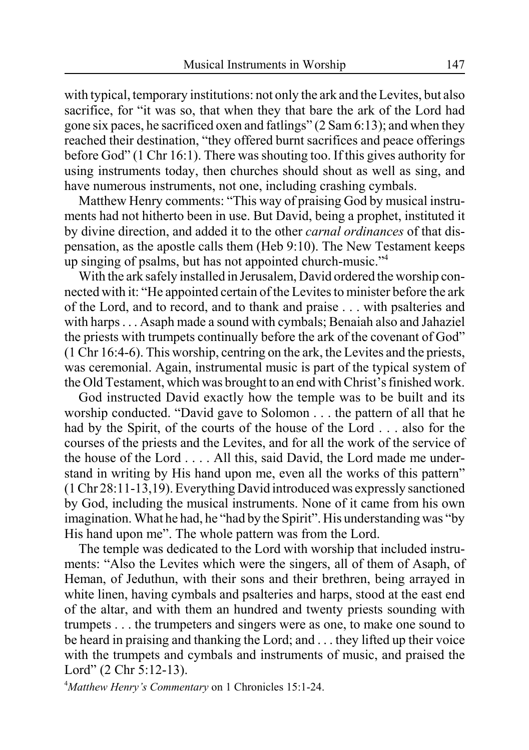with typical, temporary institutions: not only the ark and the Levites, but also sacrifice, for "it was so, that when they that bare the ark of the Lord had gone six paces, he sacrificed oxen and fatlings" (2 Sam 6:13); and when they reached their destination, "they offered burnt sacrifices and peace offerings before God" (1 Chr 16:1). There was shouting too. If this gives authority for using instruments today, then churches should shout as well as sing, and have numerous instruments, not one, including crashing cymbals.

Matthew Henry comments: "This way of praising God by musical instruments had not hitherto been in use. But David, being a prophet, instituted it by divine direction, and added it to the other *carnal ordinances* of that dispensation, as the apostle calls them (Heb 9:10). The New Testament keeps up singing of psalms, but has not appointed church-music."4

With the ark safely installed in Jerusalem, David ordered the worship connected with it: "He appointed certain of the Levites to minister before the ark of the Lord, and to record, and to thank and praise . . . with psalteries and with harps . . . Asaph made a sound with cymbals; Benaiah also and Jahaziel the priests with trumpets continually before the ark of the covenant of God" (1 Chr 16:4-6). This worship, centring on the ark, the Levites and the priests, was ceremonial. Again, instrumental music is part of the typical system of the Old Testament, which was brought to an end with Christ's finished work.

God instructed David exactly how the temple was to be built and its worship conducted. "David gave to Solomon . . . the pattern of all that he had by the Spirit, of the courts of the house of the Lord . . . also for the courses of the priests and the Levites, and for all the work of the service of the house of the Lord . . . . All this, said David, the Lord made me understand in writing by His hand upon me, even all the works of this pattern" (1 Chr 28:11-13,19). Everything David introduced was expressly sanctioned by God, including the musical instruments. None of it came from his own imagination. What he had, he "had by the Spirit". His understanding was "by His hand upon me". The whole pattern was from the Lord.

The temple was dedicated to the Lord with worship that included instruments: "Also the Levites which were the singers, all of them of Asaph, of Heman, of Jeduthun, with their sons and their brethren, being arrayed in white linen, having cymbals and psalteries and harps, stood at the east end of the altar, and with them an hundred and twenty priests sounding with trumpets . . . the trumpeters and singers were as one, to make one sound to be heard in praising and thanking the Lord; and . . . they lifted up their voice with the trumpets and cymbals and instruments of music, and praised the Lord" (2 Chr 5:12-13).

4 *Matthew Henry's Commentary* on 1 Chronicles 15:1-24.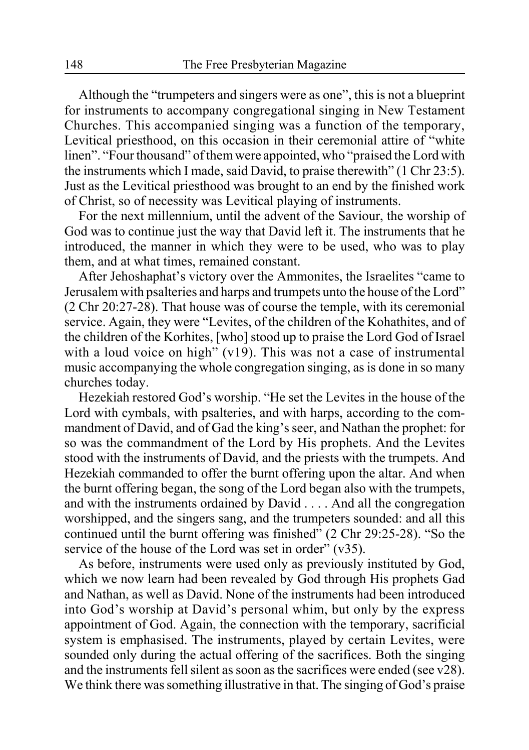Although the "trumpeters and singers were as one", this is not a blueprint for instruments to accompany congregational singing in New Testament Churches. This accompanied singing was a function of the temporary, Levitical priesthood, on this occasion in their ceremonial attire of "white linen". "Four thousand" of them were appointed, who "praised the Lord with the instruments which I made, said David, to praise therewith" (1 Chr 23:5). Just as the Levitical priesthood was brought to an end by the finished work of Christ, so of necessity was Levitical playing of instruments.

For the next millennium, until the advent of the Saviour, the worship of God was to continue just the way that David left it. The instruments that he introduced, the manner in which they were to be used, who was to play them, and at what times, remained constant.

After Jehoshaphat's victory over the Ammonites, the Israelites "came to Jerusalem with psalteries and harps and trumpets unto the house of the Lord" (2 Chr 20:27-28). That house was of course the temple, with its ceremonial service. Again, they were "Levites, of the children of the Kohathites, and of the children of the Korhites, [who] stood up to praise the Lord God of Israel with a loud voice on high" (v19). This was not a case of instrumental music accompanying the whole congregation singing, as is done in so many churches today.

Hezekiah restored God's worship. "He set the Levites in the house of the Lord with cymbals, with psalteries, and with harps, according to the commandment of David, and of Gad the king's seer, and Nathan the prophet: for so was the commandment of the Lord by His prophets. And the Levites stood with the instruments of David, and the priests with the trumpets. And Hezekiah commanded to offer the burnt offering upon the altar. And when the burnt offering began, the song of the Lord began also with the trumpets, and with the instruments ordained by David . . . . And all the congregation worshipped, and the singers sang, and the trumpeters sounded: and all this continued until the burnt offering was finished" (2 Chr 29:25-28). "So the service of the house of the Lord was set in order" (v35).

As before, instruments were used only as previously instituted by God, which we now learn had been revealed by God through His prophets Gad and Nathan, as well as David. None of the instruments had been introduced into God's worship at David's personal whim, but only by the express appointment of God. Again, the connection with the temporary, sacrificial system is emphasised. The instruments, played by certain Levites, were sounded only during the actual offering of the sacrifices. Both the singing and the instruments fell silent as soon as the sacrifices were ended (see v28). We think there was something illustrative in that. The singing of God's praise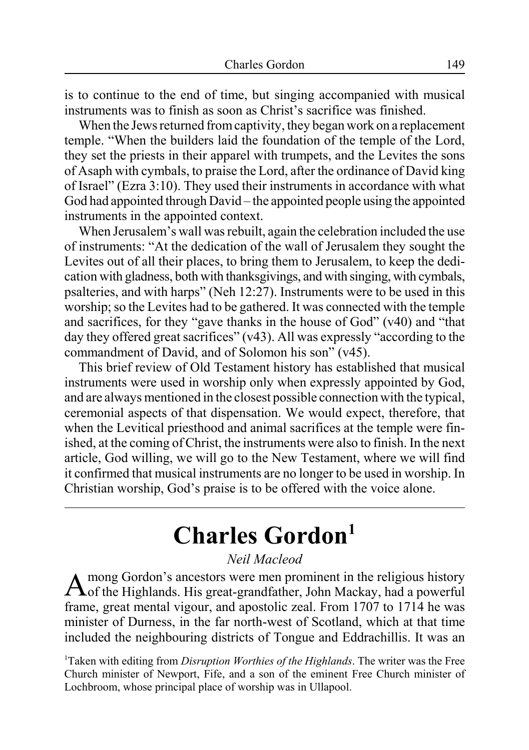is to continue to the end of time, but singing accompanied with musical instruments was to finish as soon as Christ's sacrifice was finished.

When the Jews returned from captivity, they began work on a replacement temple. "When the builders laid the foundation of the temple of the Lord, they set the priests in their apparel with trumpets, and the Levites the sons of Asaph with cymbals, to praise the Lord, after the ordinance of David king of Israel" (Ezra 3:10). They used their instruments in accordance with what God had appointed through David – the appointed people using the appointed instruments in the appointed context.

When Jerusalem's wall was rebuilt, again the celebration included the use of instruments: "At the dedication of the wall of Jerusalem they sought the Levites out of all their places, to bring them to Jerusalem, to keep the dedication with gladness, both with thanksgivings, and with singing, with cymbals, psalteries, and with harps" (Neh 12:27). Instruments were to be used in this worship; so the Levites had to be gathered. It was connected with the temple and sacrifices, for they "gave thanks in the house of God" (v40) and "that day they offered great sacrifices" (v43). All was expressly "according to the commandment of David, and of Solomon his son" (v45).

This brief review of Old Testament history has established that musical instruments were used in worship only when expressly appointed by God, and are always mentioned in the closest possible connection with the typical, ceremonial aspects of that dispensation. We would expect, therefore, that when the Levitical priesthood and animal sacrifices at the temple were finished, at the coming of Christ, the instruments were also to finish. In the next article, God willing, we will go to the New Testament, where we will find it confirmed that musical instruments are no longer to be used in worship. In Christian worship, God's praise is to be offered with the voice alone.

# **Charles Gordon1**

### *Neil Macleod*

 $A$ mong Gordon's ancestors were men prominent in the religious history<br> $A$ of the Highlands. His great-grandfather, John Mackay, had a powerful frame, great mental vigour, and apostolic zeal. From 1707 to 1714 he was minister of Durness, in the far north-west of Scotland, which at that time included the neighbouring districts of Tongue and Eddrachillis. It was an

1 Taken with editing from *Disruption Worthies of the Highlands*. The writer was the Free Church minister of Newport, Fife, and a son of the eminent Free Church minister of Lochbroom, whose principal place of worship was in Ullapool.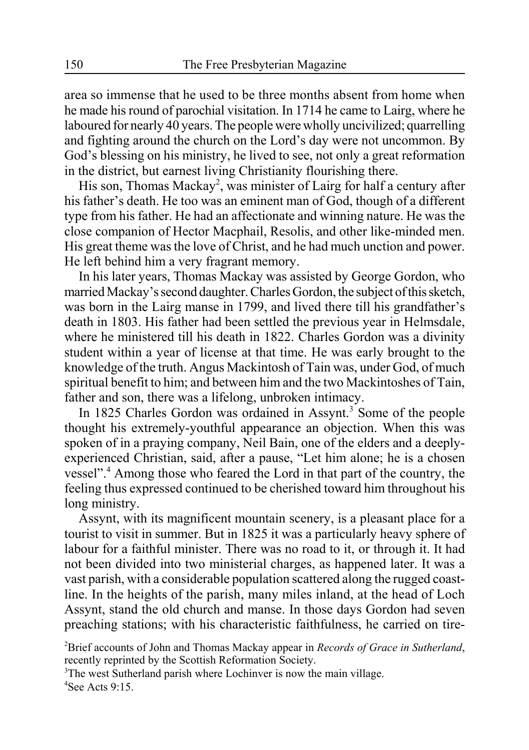area so immense that he used to be three months absent from home when he made his round of parochial visitation. In 1714 he came to Lairg, where he laboured for nearly 40 years. The people were wholly uncivilized; quarrelling and fighting around the church on the Lord's day were not uncommon. By God's blessing on his ministry, he lived to see, not only a great reformation in the district, but earnest living Christianity flourishing there.

His son, Thomas Mackay<sup>2</sup>, was minister of Lairg for half a century after his father's death. He too was an eminent man of God, though of a different type from his father. He had an affectionate and winning nature. He was the close companion of Hector Macphail, Resolis, and other like-minded men. His great theme was the love of Christ, and he had much unction and power. He left behind him a very fragrant memory.

In his later years, Thomas Mackay was assisted by George Gordon, who married Mackay's second daughter. Charles Gordon, the subject of this sketch, was born in the Lairg manse in 1799, and lived there till his grandfather's death in 1803. His father had been settled the previous year in Helmsdale, where he ministered till his death in 1822. Charles Gordon was a divinity student within a year of license at that time. He was early brought to the knowledge of the truth. Angus Mackintosh of Tain was, under God, of much spiritual benefit to him; and between him and the two Mackintoshes of Tain, father and son, there was a lifelong, unbroken intimacy.

In 1825 Charles Gordon was ordained in Assynt.<sup>3</sup> Some of the people thought his extremely-youthful appearance an objection. When this was spoken of in a praying company, Neil Bain, one of the elders and a deeplyexperienced Christian, said, after a pause, "Let him alone; he is a chosen vessel".<sup>4</sup> Among those who feared the Lord in that part of the country, the feeling thus expressed continued to be cherished toward him throughout his long ministry.

Assynt, with its magnificent mountain scenery, is a pleasant place for a tourist to visit in summer. But in 1825 it was a particularly heavy sphere of labour for a faithful minister. There was no road to it, or through it. It had not been divided into two ministerial charges, as happened later. It was a vast parish, with a considerable population scattered along the rugged coastline. In the heights of the parish, many miles inland, at the head of Loch Assynt, stand the old church and manse. In those days Gordon had seven preaching stations; with his characteristic faithfulness, he carried on tire-

2 Brief accounts of John and Thomas Mackay appear in *Records of Grace in Sutherland*, recently reprinted by the Scottish Reformation Society.

<sup>3</sup>The west Sutherland parish where Lochinver is now the main village. 4 See Acts 9:15.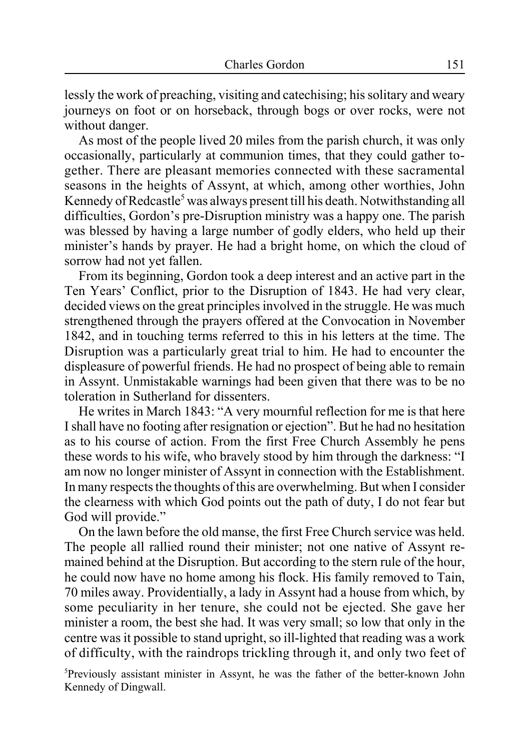lessly the work of preaching, visiting and catechising; his solitary and weary journeys on foot or on horseback, through bogs or over rocks, were not without danger.

As most of the people lived 20 miles from the parish church, it was only occasionally, particularly at communion times, that they could gather together. There are pleasant memories connected with these sacramental seasons in the heights of Assynt, at which, among other worthies, John Kennedy of Redcastle<sup>5</sup> was always present till his death. Notwithstanding all difficulties, Gordon's pre-Disruption ministry was a happy one. The parish was blessed by having a large number of godly elders, who held up their minister's hands by prayer. He had a bright home, on which the cloud of sorrow had not yet fallen.

From its beginning, Gordon took a deep interest and an active part in the Ten Years' Conflict, prior to the Disruption of 1843. He had very clear, decided views on the great principles involved in the struggle. He was much strengthened through the prayers offered at the Convocation in November 1842, and in touching terms referred to this in his letters at the time. The Disruption was a particularly great trial to him. He had to encounter the displeasure of powerful friends. He had no prospect of being able to remain in Assynt. Unmistakable warnings had been given that there was to be no toleration in Sutherland for dissenters.

He writes in March 1843: "A very mournful reflection for me is that here I shall have no footing after resignation or ejection". But he had no hesitation as to his course of action. From the first Free Church Assembly he pens these words to his wife, who bravely stood by him through the darkness: "I am now no longer minister of Assynt in connection with the Establishment. In many respects the thoughts of this are overwhelming. But when I consider the clearness with which God points out the path of duty, I do not fear but God will provide."

On the lawn before the old manse, the first Free Church service was held. The people all rallied round their minister; not one native of Assynt remained behind at the Disruption. But according to the stern rule of the hour, he could now have no home among his flock. His family removed to Tain, 70 miles away. Providentially, a lady in Assynt had a house from which, by some peculiarity in her tenure, she could not be ejected. She gave her minister a room, the best she had. It was very small; so low that only in the centre was it possible to stand upright, so ill-lighted that reading was a work of difficulty, with the raindrops trickling through it, and only two feet of

5 Previously assistant minister in Assynt, he was the father of the better-known John Kennedy of Dingwall.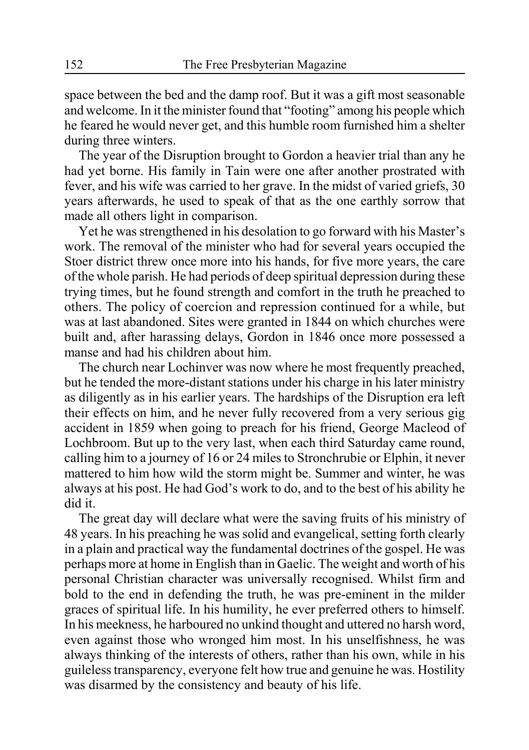space between the bed and the damp roof. But it was a gift most seasonable and welcome. In it the minister found that "footing" among his people which he feared he would never get, and this humble room furnished him a shelter during three winters.

The year of the Disruption brought to Gordon a heavier trial than any he had yet borne. His family in Tain were one after another prostrated with fever, and his wife was carried to her grave. In the midst of varied griefs, 30 years afterwards, he used to speak of that as the one earthly sorrow that made all others light in comparison.

Yet he was strengthened in his desolation to go forward with his Master's work. The removal of the minister who had for several years occupied the Stoer district threw once more into his hands, for five more years, the care of the whole parish. He had periods of deep spiritual depression during these trying times, but he found strength and comfort in the truth he preached to others. The policy of coercion and repression continued for a while, but was at last abandoned. Sites were granted in 1844 on which churches were built and, after harassing delays, Gordon in 1846 once more possessed a manse and had his children about him.

The church near Lochinver was now where he most frequently preached, but he tended the more-distant stations under his charge in his later ministry as diligently as in his earlier years. The hardships of the Disruption era left their effects on him, and he never fully recovered from a very serious gig accident in 1859 when going to preach for his friend, George Macleod of Lochbroom. But up to the very last, when each third Saturday came round, calling him to a journey of 16 or 24 miles to Stronchrubie or Elphin, it never mattered to him how wild the storm might be. Summer and winter, he was always at his post. He had God's work to do, and to the best of his ability he did it.

The great day will declare what were the saving fruits of his ministry of 48 years. In his preaching he was solid and evangelical, setting forth clearly in a plain and practical way the fundamental doctrines of the gospel. He was perhaps more at home in English than in Gaelic. The weight and worth of his personal Christian character was universally recognised. Whilst firm and bold to the end in defending the truth, he was pre-eminent in the milder graces of spiritual life. In his humility, he ever preferred others to himself. In his meekness, he harboured no unkind thought and uttered no harsh word, even against those who wronged him most. In his unselfishness, he was always thinking of the interests of others, rather than his own, while in his guileless transparency, everyone felt how true and genuine he was. Hostility was disarmed by the consistency and beauty of his life.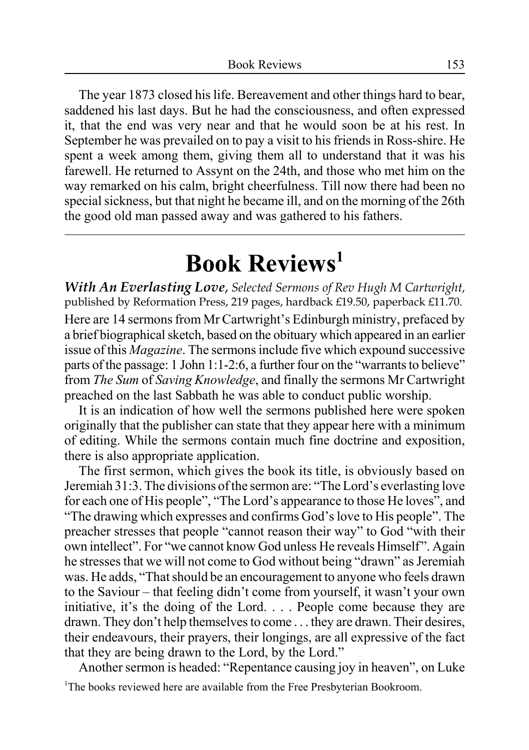The year 1873 closed his life. Bereavement and other things hard to bear, saddened his last days. But he had the consciousness, and often expressed it, that the end was very near and that he would soon be at his rest. In September he was prevailed on to pay a visit to his friends in Ross-shire. He spent a week among them, giving them all to understand that it was his farewell. He returned to Assynt on the 24th, and those who met him on the way remarked on his calm, bright cheerfulness. Till now there had been no special sickness, but that night he became ill, and on the morning of the 26th the good old man passed away and was gathered to his fathers.

# **Book Reviews1**

*With An Everlasting Love*, *Selected Sermons of Rev Hugh M Cartwright*, published by Reformation Press, 219 pages, hardback £19.50, paperback £11.70. Here are 14 sermons from Mr Cartwright's Edinburgh ministry, prefaced by a brief biographical sketch, based on the obituary which appeared in an earlier issue of this *Magazine*. The sermons include five which expound successive parts of the passage: 1 John 1:1-2:6, a further four on the "warrants to believe" from *The Sum* of *Saving Knowledge*, and finally the sermons Mr Cartwright preached on the last Sabbath he was able to conduct public worship.

It is an indication of how well the sermons published here were spoken originally that the publisher can state that they appear here with a minimum of editing. While the sermons contain much fine doctrine and exposition, there is also appropriate application.

The first sermon, which gives the book its title, is obviously based on Jeremiah 31:3. The divisions of the sermon are: "The Lord's everlasting love for each one of His people", "The Lord's appearance to those He loves", and "The drawing which expresses and confirms God's love to His people". The preacher stresses that people "cannot reason their way" to God "with their own intellect". For "we cannot know God unless He reveals Himself". Again he stresses that we will not come to God without being "drawn" as Jeremiah was. He adds, "That should be an encouragement to anyone who feels drawn to the Saviour – that feeling didn't come from yourself, it wasn't your own initiative, it's the doing of the Lord. . . . People come because they are drawn. They don't help themselves to come . . . they are drawn. Their desires, their endeavours, their prayers, their longings, are all expressive of the fact that they are being drawn to the Lord, by the Lord."

Another sermon is headed: "Repentance causing joy in heaven", on Luke

<sup>1</sup>The books reviewed here are available from the Free Presbyterian Bookroom.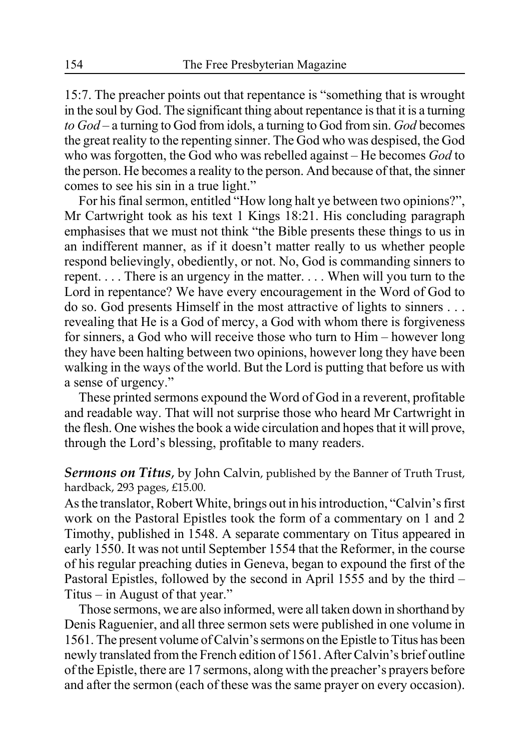15:7. The preacher points out that repentance is "something that is wrought in the soul by God. The significant thing about repentance is that it is a turning *to God* – a turning to God from idols, a turning to God from sin. *God* becomes the great reality to the repenting sinner. The God who was despised, the God who was forgotten, the God who was rebelled against – He becomes *God* to the person. He becomes a reality to the person. And because of that, the sinner comes to see his sin in a true light."

For his final sermon, entitled "How long halt ye between two opinions?", Mr Cartwright took as his text 1 Kings 18:21. His concluding paragraph emphasises that we must not think "the Bible presents these things to us in an indifferent manner, as if it doesn't matter really to us whether people respond believingly, obediently, or not. No, God is commanding sinners to repent. . . . There is an urgency in the matter. . . . When will you turn to the Lord in repentance? We have every encouragement in the Word of God to do so. God presents Himself in the most attractive of lights to sinners . . . revealing that He is a God of mercy, a God with whom there is forgiveness for sinners, a God who will receive those who turn to Him – however long they have been halting between two opinions, however long they have been walking in the ways of the world. But the Lord is putting that before us with a sense of urgency."

These printed sermons expound the Word of God in a reverent, profitable and readable way. That will not surprise those who heard Mr Cartwright in the flesh. One wishes the book a wide circulation and hopes that it will prove, through the Lord's blessing, profitable to many readers.

*Sermons on Titus*, by John Calvin, published by the Banner of Truth Trust, hardback, 293 pages, £15.00.

As the translator, Robert White, brings out in his introduction, "Calvin's first work on the Pastoral Epistles took the form of a commentary on 1 and 2 Timothy, published in 1548. A separate commentary on Titus appeared in early 1550. It was not until September 1554 that the Reformer, in the course of his regular preaching duties in Geneva, began to expound the first of the Pastoral Epistles, followed by the second in April 1555 and by the third – Titus – in August of that year."

Those sermons, we are also informed, were all taken down in shorthand by Denis Raguenier, and all three sermon sets were published in one volume in 1561. The present volume of Calvin's sermons on the Epistle to Titus has been newly translated from the French edition of 1561. After Calvin's brief outline of the Epistle, there are 17 sermons, along with the preacher's prayers before and after the sermon (each of these was the same prayer on every occasion).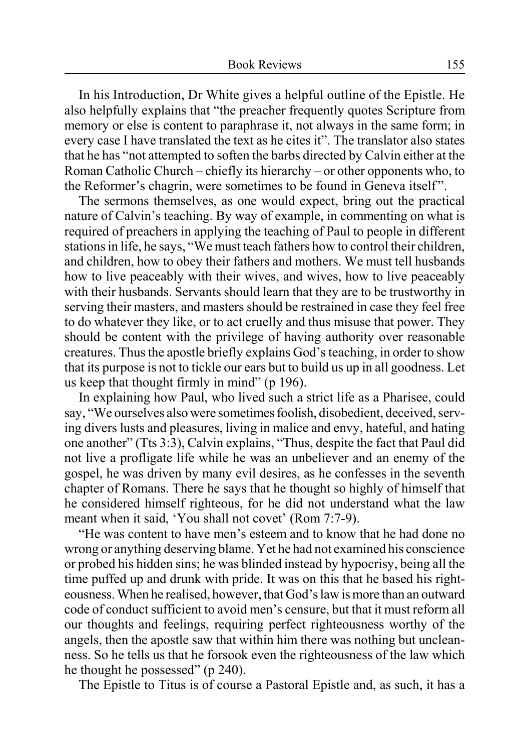In his Introduction, Dr White gives a helpful outline of the Epistle. He also helpfully explains that "the preacher frequently quotes Scripture from memory or else is content to paraphrase it, not always in the same form; in every case I have translated the text as he cites it". The translator also states that he has "not attempted to soften the barbs directed by Calvin either at the Roman Catholic Church – chiefly its hierarchy – or other opponents who, to the Reformer's chagrin, were sometimes to be found in Geneva itself ".

The sermons themselves, as one would expect, bring out the practical nature of Calvin's teaching. By way of example, in commenting on what is required of preachers in applying the teaching of Paul to people in different stations in life, he says, "We must teach fathers how to control their children, and children, how to obey their fathers and mothers. We must tell husbands how to live peaceably with their wives, and wives, how to live peaceably with their husbands. Servants should learn that they are to be trustworthy in serving their masters, and masters should be restrained in case they feel free to do whatever they like, or to act cruelly and thus misuse that power. They should be content with the privilege of having authority over reasonable creatures. Thus the apostle briefly explains God's teaching, in order to show that its purpose is not to tickle our ears but to build us up in all goodness. Let us keep that thought firmly in mind" (p 196).

In explaining how Paul, who lived such a strict life as a Pharisee, could say, "We ourselves also were sometimes foolish, disobedient, deceived, serving divers lusts and pleasures, living in malice and envy, hateful, and hating one another" (Tts 3:3), Calvin explains, "Thus, despite the fact that Paul did not live a profligate life while he was an unbeliever and an enemy of the gospel, he was driven by many evil desires, as he confesses in the seventh chapter of Romans. There he says that he thought so highly of himself that he considered himself righteous, for he did not understand what the law meant when it said, 'You shall not covet' (Rom 7:7-9).

"He was content to have men's esteem and to know that he had done no wrong or anything deserving blame. Yet he had not examined his conscience or probed his hidden sins; he was blinded instead by hypocrisy, being all the time puffed up and drunk with pride. It was on this that he based his righteousness. When he realised, however, that God's law is more than an outward code of conduct sufficient to avoid men's censure, but that it must reform all our thoughts and feelings, requiring perfect righteousness worthy of the angels, then the apostle saw that within him there was nothing but uncleanness. So he tells us that he forsook even the righteousness of the law which he thought he possessed" (p 240).

The Epistle to Titus is of course a Pastoral Epistle and, as such, it has a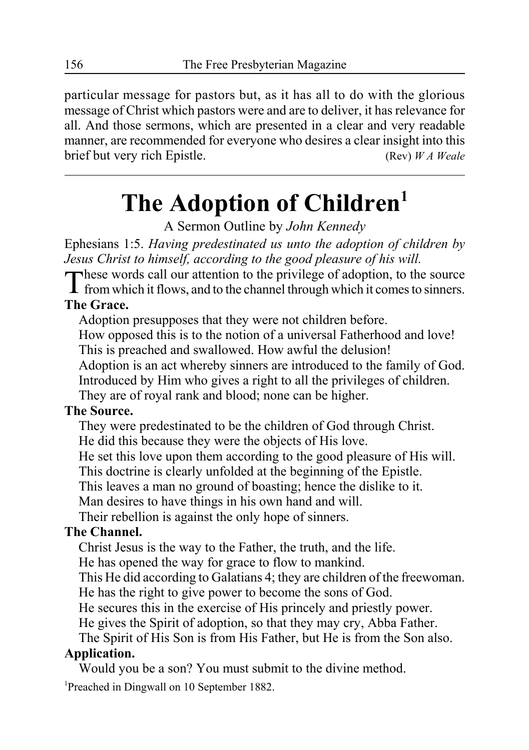particular message for pastors but, as it has all to do with the glorious message of Christ which pastors were and are to deliver, it has relevance for all. And those sermons, which are presented in a clear and very readable manner, are recommended for everyone who desires a clear insight into this brief but very rich Epistle. (Rev) *W A Weale*

# **The Adoption of Children1**

A Sermon Outline by *John Kennedy*

Ephesians 1:5. *Having predestinated us unto the adoption of children by Jesus Christ to himself, according to the good pleasure of his will.*

These words call our attention to the privilege of adoption, to the source from which it flows, and to the channel through which it comes to sinners.

### **The Grace.**

Adoption presupposes that they were not children before.

How opposed this is to the notion of a universal Fatherhood and love! This is preached and swallowed. How awful the delusion!

Adoption is an act whereby sinners are introduced to the family of God. Introduced by Him who gives a right to all the privileges of children. They are of royal rank and blood; none can be higher.

### **The Source.**

They were predestinated to be the children of God through Christ. He did this because they were the objects of His love. He set this love upon them according to the good pleasure of His will. This doctrine is clearly unfolded at the beginning of the Epistle. This leaves a man no ground of boasting; hence the dislike to it. Man desires to have things in his own hand and will. Their rebellion is against the only hope of sinners.

### **The Channel.**

Christ Jesus is the way to the Father, the truth, and the life.

He has opened the way for grace to flow to mankind.

This He did according to Galatians 4; they are children of the freewoman. He has the right to give power to become the sons of God.

He secures this in the exercise of His princely and priestly power.

He gives the Spirit of adoption, so that they may cry, Abba Father.

The Spirit of His Son is from His Father, but He is from the Son also.

### **Application.**

Would you be a son? You must submit to the divine method.

<sup>1</sup>Preached in Dingwall on 10 September 1882.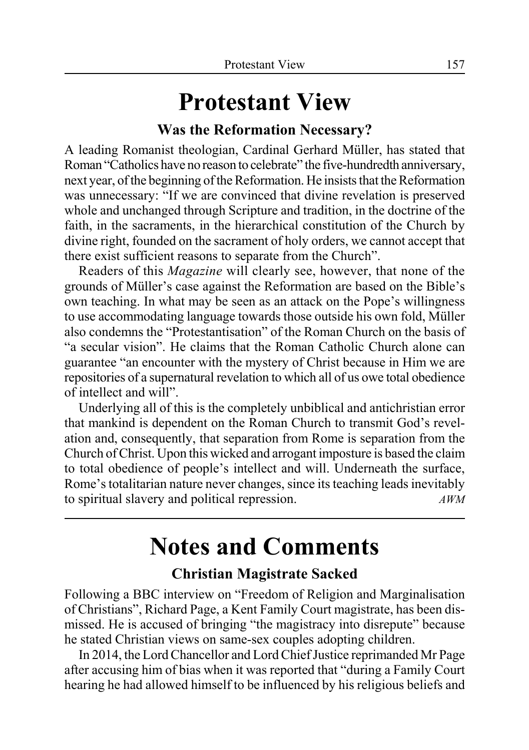# **Protestant View**

### **Was the Reformation Necessary?**

A leading Romanist theologian, Cardinal Gerhard Müller, has stated that Roman "Catholics have no reason to celebrate" the five-hundredth anniversary, next year, of the beginning of the Reformation. He insists that the Reformation was unnecessary: "If we are convinced that divine revelation is preserved whole and unchanged through Scripture and tradition, in the doctrine of the faith, in the sacraments, in the hierarchical constitution of the Church by divine right, founded on the sacrament of holy orders, we cannot accept that there exist sufficient reasons to separate from the Church".

Readers of this *Magazine* will clearly see, however, that none of the grounds of Müller's case against the Reformation are based on the Bible's own teaching. In what may be seen as an attack on the Pope's willingness to use accommodating language towards those outside his own fold, Müller also condemns the "Protestantisation" of the Roman Church on the basis of "a secular vision". He claims that the Roman Catholic Church alone can guarantee "an encounter with the mystery of Christ because in Him we are repositories of a supernatural revelation to which all of us owe total obedience of intellect and will".

Underlying all of this is the completely unbiblical and antichristian error that mankind is dependent on the Roman Church to transmit God's revelation and, consequently, that separation from Rome is separation from the Church of Christ. Upon this wicked and arrogant imposture is based the claim to total obedience of people's intellect and will. Underneath the surface, Rome's totalitarian nature never changes, since its teaching leads inevitably to spiritual slavery and political repression. *AWM*

# **Notes and Comments**

### **Christian Magistrate Sacked**

Following a BBC interview on "Freedom of Religion and Marginalisation of Christians", Richard Page, a Kent Family Court magistrate, has been dismissed. He is accused of bringing "the magistracy into disrepute" because he stated Christian views on same-sex couples adopting children.

In 2014, the Lord Chancellor and Lord Chief Justice reprimanded Mr Page after accusing him of bias when it was reported that "during a Family Court hearing he had allowed himself to be influenced by his religious beliefs and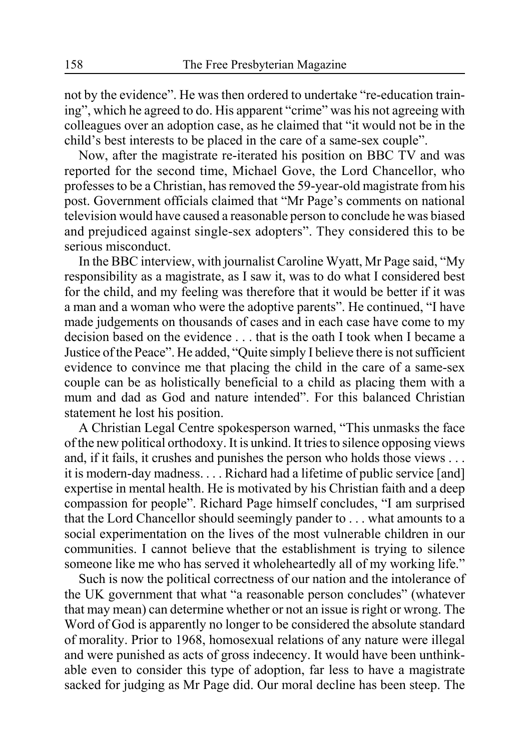not by the evidence". He was then ordered to undertake "re-education training", which he agreed to do. His apparent "crime" was his not agreeing with colleagues over an adoption case, as he claimed that "it would not be in the child's best interests to be placed in the care of a same-sex couple".

Now, after the magistrate re-iterated his position on BBC TV and was reported for the second time, Michael Gove, the Lord Chancellor, who professes to be a Christian, has removed the 59-year-old magistrate from his post. Government officials claimed that "Mr Page's comments on national television would have caused a reasonable person to conclude he was biased and prejudiced against single-sex adopters". They considered this to be serious misconduct.

In the BBC interview, with journalist Caroline Wyatt, Mr Page said, "My responsibility as a magistrate, as I saw it, was to do what I considered best for the child, and my feeling was therefore that it would be better if it was a man and a woman who were the adoptive parents". He continued, "I have made judgements on thousands of cases and in each case have come to my decision based on the evidence . . . that is the oath I took when I became a Justice of the Peace". He added, "Quite simply I believe there is not sufficient evidence to convince me that placing the child in the care of a same-sex couple can be as holistically beneficial to a child as placing them with a mum and dad as God and nature intended". For this balanced Christian statement he lost his position.

A Christian Legal Centre spokesperson warned, "This unmasks the face of the new political orthodoxy. It is unkind. It tries to silence opposing views and, if it fails, it crushes and punishes the person who holds those views . . . it is modern-day madness. . . . Richard had a lifetime of public service [and] expertise in mental health. He is motivated by his Christian faith and a deep compassion for people". Richard Page himself concludes, "I am surprised that the Lord Chancellor should seemingly pander to . . . what amounts to a social experimentation on the lives of the most vulnerable children in our communities. I cannot believe that the establishment is trying to silence someone like me who has served it wholeheartedly all of my working life."

Such is now the political correctness of our nation and the intolerance of the UK government that what "a reasonable person concludes" (whatever that may mean) can determine whether or not an issue is right or wrong. The Word of God is apparently no longer to be considered the absolute standard of morality. Prior to 1968, homosexual relations of any nature were illegal and were punished as acts of gross indecency. It would have been unthinkable even to consider this type of adoption, far less to have a magistrate sacked for judging as Mr Page did. Our moral decline has been steep. The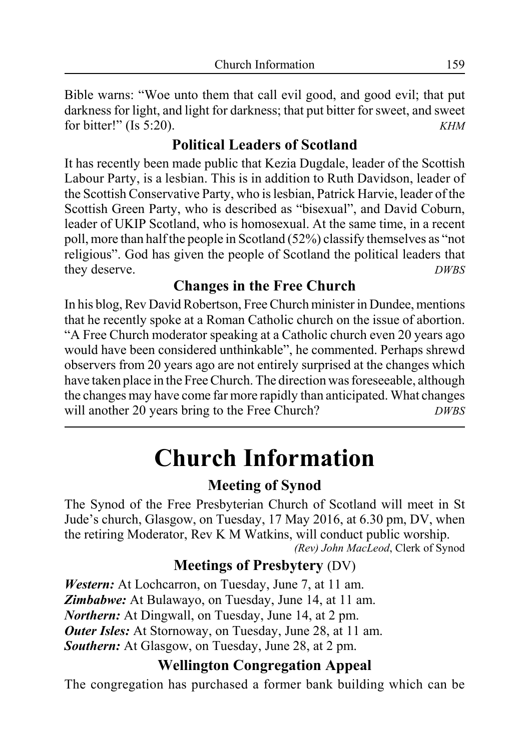Bible warns: "Woe unto them that call evil good, and good evil; that put darkness for light, and light for darkness; that put bitter for sweet, and sweet for bitter!" (Is 5:20). *KHM*

### **Political Leaders of Scotland**

It has recently been made public that Kezia Dugdale, leader of the Scottish Labour Party, is a lesbian. This is in addition to Ruth Davidson, leader of the Scottish Conservative Party, who is lesbian, Patrick Harvie, leader of the Scottish Green Party, who is described as "bisexual", and David Coburn, leader of UKIP Scotland, who is homosexual. At the same time, in a recent poll, more than half the people in Scotland (52%) classify themselves as "not religious". God has given the people of Scotland the political leaders that they deserve. *DWBS*

### **Changes in the Free Church**

In his blog, Rev David Robertson, Free Church minister in Dundee, mentions that he recently spoke at a Roman Catholic church on the issue of abortion. "A Free Church moderator speaking at a Catholic church even 20 years ago would have been considered unthinkable", he commented. Perhaps shrewd observers from 20 years ago are not entirely surprised at the changes which have taken place in the Free Church. The direction was foreseeable, although the changes may have come far more rapidly than anticipated. What changes will another 20 years bring to the Free Church? *DWBS*

# **Church Information**

### **Meeting of Synod**

The Synod of the Free Presbyterian Church of Scotland will meet in St Jude's church, Glasgow, on Tuesday, 17 May 2016, at 6.30 pm, DV, when the retiring Moderator, Rev K M Watkins, will conduct public worship. *(Rev) John MacLeod*, Clerk of Synod

### **Meetings of Presbytery** (DV)

*Western:* At Lochcarron, on Tuesday, June 7, at 11 am. *Zimbabwe:* At Bulawayo, on Tuesday, June 14, at 11 am. *Northern:* At Dingwall, on Tuesday, June 14, at 2 pm. *Outer Isles:* At Stornoway, on Tuesday, June 28, at 11 am. *Southern:* At Glasgow, on Tuesday, June 28, at 2 pm.

### **Wellington Congregation Appeal**

The congregation has purchased a former bank building which can be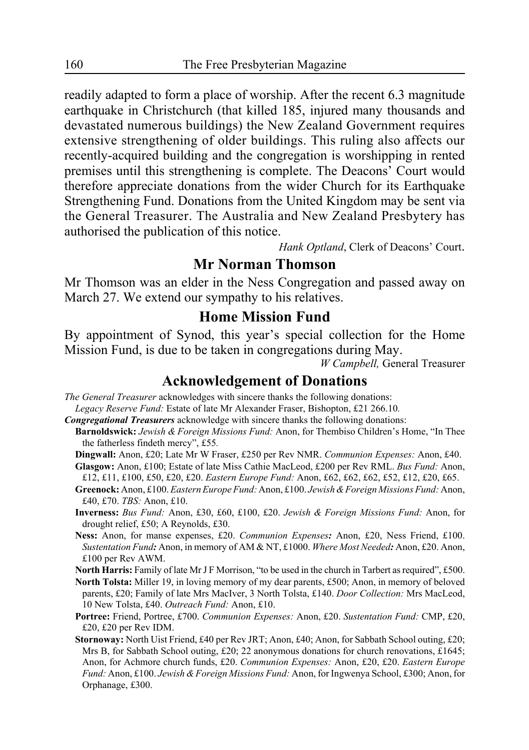readily adapted to form a place of worship. After the recent 6.3 magnitude earthquake in Christchurch (that killed 185, injured many thousands and devastated numerous buildings) the New Zealand Government requires extensive strengthening of older buildings. This ruling also affects our recently-acquired building and the congregation is worshipping in rented premises until this strengthening is complete. The Deacons' Court would therefore appreciate donations from the wider Church for its Earthquake Strengthening Fund. Donations from the United Kingdom may be sent via the General Treasurer. The Australia and New Zealand Presbytery has authorised the publication of this notice.

*Hank Optland*, Clerk of Deacons' Court.

### **Mr Norman Thomson**

Mr Thomson was an elder in the Ness Congregation and passed away on March 27. We extend our sympathy to his relatives.

### **Home Mission Fund**

By appointment of Synod, this year's special collection for the Home Mission Fund, is due to be taken in congregations during May.

*W Campbell,* General Treasurer

### **Acknowledgement of Donations**

*The General Treasurer* acknowledges with sincere thanks the following donations: *Legacy Reserve Fund:* Estate of late Mr Alexander Fraser, Bishopton, £21 266.10*.*

- *Congregational Treasurers* acknowledge with sincere thanks the following donations:
- **Barnoldswick:** *Jewish & Foreign Missions Fund:* Anon, for Thembiso Children's Home, "In Thee the fatherless findeth mercy", £55*.*
	- **Dingwall:** Anon, £20; Late Mr W Fraser, £250 per Rev NMR. *Communion Expenses:* Anon, £40. **Glasgow:** Anon, £100; Estate of late Miss Cathie MacLeod, £200 per Rev RML. *Bus Fund:* Anon,

£12, £11, £100, £50, £20, £20. *Eastern Europe Fund:* Anon, £62, £62, £62, £52, £12, £20, £65.

- **Greenock:** Anon, £100. *Eastern Europe Fund:* Anon, £100. *Jewish & Foreign Missions Fund:* Anon, £40, £70. *TBS:* Anon, £10.
- **Inverness:** *Bus Fund:* Anon, £30, £60, £100, £20. *Jewish & Foreign Missions Fund:* Anon, for drought relief, £50; A Reynolds, £30.
- **Ness:** Anon, for manse expenses, £20. *Communion Expenses:* Anon, £20, Ness Friend, £100. *Sustentation Fund:* Anon, in memory of AM & NT, £1000. *Where Most Needed:* Anon, £20. Anon, £100 per Rev AWM.

**North Harris:** Family of late Mr J F Morrison, "to be used in the church in Tarbert as required", £500.

- **North Tolsta:** Miller 19, in loving memory of my dear parents, £500; Anon, in memory of beloved parents, £20; Family of late Mrs MacIver, 3 North Tolsta, £140. *Door Collection:* Mrs MacLeod, 10 New Tolsta, £40. *Outreach Fund:* Anon, £10.
- **Portree:** Friend, Portree, £700. *Communion Expenses:* Anon, £20. *Sustentation Fund:* CMP, £20, £20, £20 per Rev IDM.
- **Stornoway:** North Uist Friend, £40 per Rev JRT; Anon, £40; Anon, for Sabbath School outing, £20; Mrs B, for Sabbath School outing, £20; 22 anonymous donations for church renovations, £1645; Anon, for Achmore church funds, £20. *Communion Expenses:* Anon, £20, £20. *Eastern Europe Fund:* Anon, £100. *Jewish & Foreign Missions Fund:* Anon, for Ingwenya School, £300; Anon, for Orphanage, £300.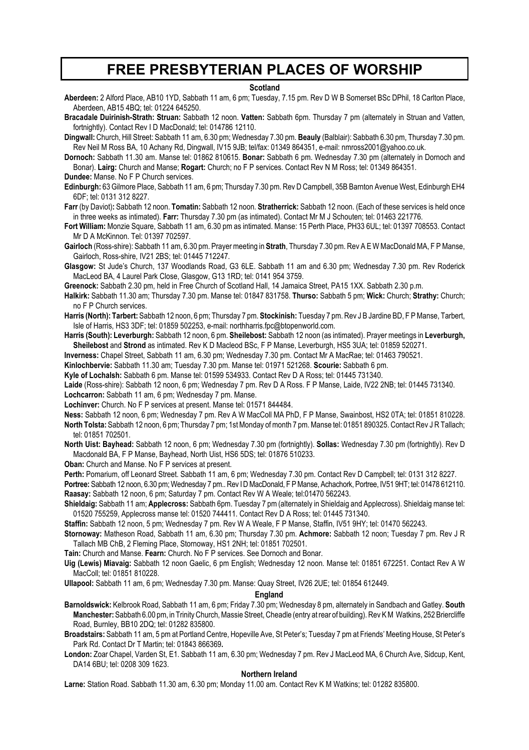### **FREE PRESBYTERIAN PLACES OF WORSHIP**

#### **Scotland**

**Aberdeen:** 2 Alford Place, AB10 1YD, Sabbath 11 am, 6 pm; Tuesday, 7.15 pm. Rev D W B Somerset BSc DPhil, 18 Carlton Place, Aberdeen, AB15 4BQ; tel: 01224 645250.

**Bracadale Duirinish-Strath: Struan:** Sabbath 12 noon. **Vatten:** Sabbath 6pm. Thursday 7 pm (alternately in Struan and Vatten, fortnightly). Contact Rev I D MacDonald; tel: 014786 12110.

**Dingwall:** Church, Hill Street: Sabbath 11 am, 6.30 pm; Wednesday 7.30 pm. **Beauly** (Balblair): Sabbath 6.30 pm, Thursday 7.30 pm. Rev Neil M Ross BA, 10 Achany Rd, Dingwall, IV15 9JB; tel/fax: 01349 864351, e-mail: nmross2001@yahoo.co.uk.

**Dornoch:** Sabbath 11.30 am. Manse tel: 01862 810615. **Bonar:** Sabbath 6 pm. Wednesday 7.30 pm (alternately in Dornoch and Bonar). **Lairg:** Church and Manse; **Rogart:** Church; no F P services. Contact Rev N M Ross; tel: 01349 864351.

**Dundee:** Manse. No F P Church services.

**Edinburgh:** 63 Gilmore Place, Sabbath 11 am, 6 pm; Thursday 7.30 pm. Rev D Campbell, 35B Barnton Avenue West, Edinburgh EH4 6DF; tel: 0131 312 8227.

**Farr** (by Daviot)**:** Sabbath 12 noon. **Tomatin:** Sabbath 12 noon. **Stratherrick:** Sabbath 12 noon. (Each of these services is held once in three weeks as intimated). **Farr:** Thursday 7.30 pm (as intimated). Contact Mr M J Schouten; tel: 01463 221776.

**Fort William:** Monzie Square, Sabbath 11 am, 6.30 pm as intimated. Manse: 15 Perth Place, PH33 6UL; tel: 01397 708553. Contact Mr D A McKinnon. Tel: 01397 702597.

**Gairloch** (Ross-shire): Sabbath 11 am, 6.30 pm. Prayer meeting in **Strath**, Thursday 7.30 pm. Rev A E W MacDonald MA, F P Manse, Gairloch, Ross-shire, IV21 2BS; tel: 01445 712247.

**Glasgow:** St Jude's Church, 137 Woodlands Road, G3 6LE. Sabbath 11 am and 6.30 pm; Wednesday 7.30 pm. Rev Roderick MacLeod BA, 4 Laurel Park Close, Glasgow, G13 1RD; tel: 0141 954 3759.

**Greenock:** Sabbath 2.30 pm, held in Free Church of Scotland Hall, 14 Jamaica Street, PA15 1XX. Sabbath 2.30 p.m.

**Halkirk:** Sabbath 11.30 am; Thursday 7.30 pm. Manse tel: 01847 831758. **Thurso:** Sabbath 5 pm; **Wick:** Church; **Strathy:** Church; no F P Church services.

**Harris (North): Tarbert:** Sabbath 12 noon, 6 pm; Thursday 7 pm. **Stockinish:** Tuesday 7 pm. Rev J B Jardine BD, F P Manse, Tarbert, Isle of Harris, HS3 3DF; tel: 01859 502253, e-mail: northharris.fpc@btopenworld.com.

**Harris (South): Leverburgh:** Sabbath 12 noon, 6 pm. **Sheilebost:** Sabbath 12 noon (as intimated). Prayer meetings in **Leverburgh, Sheilebost** and **Strond** as intimated. Rev K D Macleod BSc, F P Manse, Leverburgh, HS5 3UA; tel: 01859 520271.

**Inverness:** Chapel Street, Sabbath 11 am, 6.30 pm; Wednesday 7.30 pm. Contact Mr A MacRae; tel: 01463 790521.

**Kinlochbervie:** Sabbath 11.30 am; Tuesday 7.30 pm. Manse tel: 01971 521268. **Scourie:** Sabbath 6 pm.

**Kyle of Lochalsh:** Sabbath 6 pm. Manse tel: 01599 534933. Contact Rev D A Ross; tel: 01445 731340.

**Laide** (Ross-shire): Sabbath 12 noon, 6 pm; Wednesday 7 pm. Rev D A Ross. F P Manse, Laide, IV22 2NB; tel: 01445 731340. **Lochcarron:** Sabbath 11 am, 6 pm; Wednesday 7 pm. Manse.

**Lochinver:** Church. No F P services at present. Manse tel: 01571 844484.

**Ness:** Sabbath 12 noon, 6 pm; Wednesday 7 pm. Rev A W MacColl MA PhD, F P Manse, Swainbost, HS2 0TA; tel: 01851 810228. **North Tolsta:** Sabbath 12 noon, 6 pm; Thursday 7 pm; 1st Monday of month 7 pm. Manse tel: 01851 890325. Contact Rev J R Tallach; tel: 01851 702501.

**North Uist: Bayhead:** Sabbath 12 noon, 6 pm; Wednesday 7.30 pm (fortnightly). **Sollas:** Wednesday 7.30 pm (fortnightly). Rev D Macdonald BA, F P Manse, Bayhead, North Uist, HS6 5DS; tel: 01876 510233.

**Oban:** Church and Manse. No F P services at present.

**Perth:** Pomarium, off Leonard Street. Sabbath 11 am, 6 pm; Wednesday 7.30 pm. Contact Rev D Campbell; tel: 0131 312 8227.

**Portree:** Sabbath 12 noon, 6.30 pm; Wednesday 7 pm.. Rev I D MacDonald, F P Manse, Achachork, Portree, IV51 9HT; tel: 01478 612110. **Raasay:** Sabbath 12 noon, 6 pm; Saturday 7 pm. Contact Rev W A Weale; tel:01470 562243.

**Shieldaig:** Sabbath 11 am; **Applecross:** Sabbath 6pm. Tuesday 7 pm (alternately in Shieldaig and Applecross). Shieldaig manse tel: 01520 755259, Applecross manse tel: 01520 744411. Contact Rev D A Ross; tel: 01445 731340.

**Staffin:** Sabbath 12 noon, 5 pm; Wednesday 7 pm. Rev W A Weale, F P Manse, Staffin, IV51 9HY; tel: 01470 562243.

**Stornoway:** Matheson Road, Sabbath 11 am, 6.30 pm; Thursday 7.30 pm. **Achmore:** Sabbath 12 noon; Tuesday 7 pm. Rev J R Tallach MB ChB, 2 Fleming Place, Stornoway, HS1 2NH; tel: 01851 702501.

**Tain:** Church and Manse. **Fearn:** Church. No F P services. See Dornoch and Bonar.

**Uig (Lewis) Miavaig:** Sabbath 12 noon Gaelic, 6 pm English; Wednesday 12 noon. Manse tel: 01851 672251. Contact Rev A W MacColl; tel: 01851 810228.

**Ullapool:** Sabbath 11 am, 6 pm; Wednesday 7.30 pm. Manse: Quay Street, IV26 2UE; tel: 01854 612449.

#### **England**

**Barnoldswick:** Kelbrook Road, Sabbath 11 am, 6 pm; Friday 7.30 pm; Wednesday 8 pm, alternately in Sandbach and Gatley. **South Manchester:** Sabbath 6.00 pm, in Trinity Church, Massie Street, Cheadle (entry at rear of building). Rev K M Watkins, 252 Briercliffe Road, Burnley, BB10 2DQ; tel: 01282 835800.

**Broadstairs:** Sabbath 11 am, 5 pm at Portland Centre, Hopeville Ave, St Peter's; Tuesday 7 pm at Friends' Meeting House, St Peter's Park Rd. Contact Dr T Martin; tel: 01843 866369**.**

**London:** Zoar Chapel, Varden St, E1. Sabbath 11 am, 6.30 pm; Wednesday 7 pm. Rev J MacLeod MA, 6 Church Ave, Sidcup, Kent, DA14 6BU; tel: 0208 309 1623.

#### **Northern Ireland**

**Larne:** Station Road. Sabbath 11.30 am, 6.30 pm; Monday 11.00 am. Contact Rev K M Watkins; tel: 01282 835800.